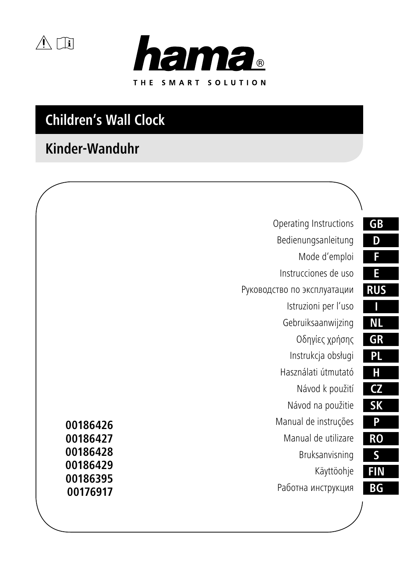$\triangle$ 



# **Children's Wall Clock**

# **Kinder-Wanduhr**

| GB                     | Operating Instructions             |  |
|------------------------|------------------------------------|--|
| D                      | Bedienungsanleitung                |  |
| F                      | Mode d'emploi                      |  |
| E                      | Instrucciones de uso               |  |
| <b>RUS</b>             | Руководство по эксплуатации        |  |
|                        | Istruzioni per l'uso               |  |
| ΝL                     | Gebruiksaanwijzing                 |  |
| GR                     | Οδηγίες χρήσης                     |  |
| PL                     | Instrukcja obsługi                 |  |
| Н                      | Használati útmutató                |  |
| $\overline{\text{CZ}}$ | Návod k použití                    |  |
| <b>SK</b>              | Návod na použitie                  |  |
| P                      | Manual de instruções<br>00186426   |  |
| <b>RO</b>              | Manual de utilizare<br>00186427    |  |
| S                      | 00186428<br>Bruksanvisning         |  |
| <b>FIN</b>             | 00186429<br>Käyttöohje<br>00186395 |  |
| BG                     | Работна инструкция<br>00176917     |  |
|                        |                                    |  |

ī

Ξ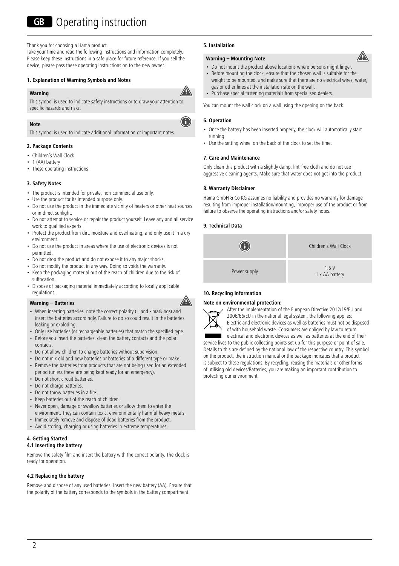Thank you for choosing a Hama product.

Take your time and read the following instructions and information completely. Please keep these instructions in a safe place for future reference. If you sell the device, please pass these operating instructions on to the new owner.

## **1. Explanation of Warning Symbols and Notes**

## **Warning**



O

This symbol is used to indicate safety instructions or to draw your attention to specific hazards and risks.

## **Note**

This symbol is used to indicate additional information or important notes.

## **2. Package Contents**

- Children's Wall Clock
- 1 (AA) battery
- These operating instructions

## **3. Safety Notes**

- The product is intended for private, non-commercial use only.
- Use the product for its intended purpose only.
- Do not use the product in the immediate vicinity of heaters or other heat sources or in direct sunlight.
- Do not attempt to service or repair the product yourself. Leave any and all service work to qualified experts.
- Protect the product from dirt, moisture and overheating, and only use it in a dry environment.
- Do not use the product in areas where the use of electronic devices is not permitted.
- Do not drop the product and do not expose it to any major shocks.
- Do not modify the product in any way. Doing so voids the warranty.
- Keep the packaging material out of the reach of children due to the risk of suffocation.
- Dispose of packaging material immediately according to locally applicable regulations.

## **Warning – Batteries**



- When inserting batteries, note the correct polarity (+ and markings) and insert the batteries accordingly. Failure to do so could result in the batteries leaking or exploding.
- Only use batteries (or rechargeable batteries) that match the specified type.
- Before you insert the batteries, clean the battery contacts and the polar contacts.
- Do not allow children to change batteries without supervision.
- Do not mix old and new batteries or batteries of a different type or make. • Remove the batteries from products that are not being used for an extended
- period (unless these are being kept ready for an emergency). • Do not short-circuit batteries.
- Do not charge batteries.
- Do not throw batteries in a fire.
- Keep batteries out of the reach of children.
- Never open, damage or swallow batteries or allow them to enter the environment. They can contain toxic, environmentally harmful heavy metals.
- Immediately remove and dispose of dead batteries from the product.
- Avoid storing, charging or using batteries in extreme temperatures.

## **4. Getting Started**

## **4.1 Inserting the battery**

Remove the safety film and insert the battery with the correct polarity. The clock is ready for operation.

## **4.2 Replacing the battery**

Remove and dispose of any used batteries. Insert the new battery (AA). Ensure that the polarity of the battery corresponds to the symbols in the battery compartment.

## **5. Installation**

#### **Warning – Mounting Note**

- Do not mount the product above locations where persons might linger
- Before mounting the clock, ensure that the chosen wall is suitable for the weight to be mounted, and make sure that there are no electrical wires, water, gas or other lines at the installation site on the wall.
- Purchase special fastening materials from specialised dealers.

You can mount the wall clock on a wall using the opening on the back.

## **6. Operation**

- Once the battery has been inserted properly, the clock will automatically start running.
- Use the setting wheel on the back of the clock to set the time.

## **7. Care and Maintenance**

Only clean this product with a slightly damp, lint-free cloth and do not use aggressive cleaning agents. Make sure that water does not get into the product.

## **8. Warranty Disclaimer**

Hama GmbH & Co KG assumes no liability and provides no warranty for damage resulting from improper installation/mounting, improper use of the product or from failure to observe the operating instructions and/or safety notes.

## **9. Technical Data**



## **10. Recycling Information**

#### **Note on environmental protection:**



After the implementation of the European Directive 2012/19/EU and 2006/66/EU in the national legal system, the following applies: Electric and electronic devices as well as batteries must not be disposed of with household waste. Consumers are obliged by law to return

electrical and electronic devices as well as batteries at the end of their service lives to the public collecting points set up for this purpose or point of sale. Details to this are defined by the national law of the respective country. This symbol on the product, the instruction manual or the package indicates that a product is subject to these regulations. By recycling, reusing the materials or other forms of utilising old devices/Batteries, you are making an important contribution to protecting our environment.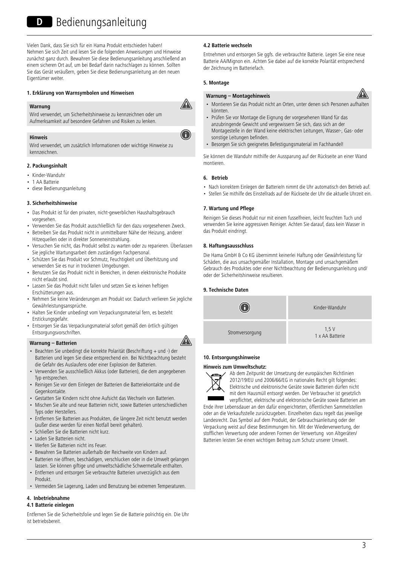## D Bedienungsanleitung

Vielen Dank, dass Sie sich für ein Hama Produkt entschieden haben! Nehmen Sie sich Zeit und lesen Sie die folgenden Anweisungen und Hinweise zunächst ganz durch. Bewahren Sie diese Bedienungsanleitung anschließend an einem sicheren Ort auf, um bei Bedarf darin nachschlagen zu können. Sollten Sie das Gerät veräußern, geben Sie diese Bedienungsanleitung an den neuen Eigentümer weiter.

## **1. Erklärung von Warnsymbolen und Hinweisen**



Wird verwendet, um Sicherheitshinweise zu kennzeichnen oder um Aufmerksamkeit auf besondere Gefahren und Risiken zu lenken.

#### **Hinweis**

Wird verwendet, um zusätzlich Informationen oder wichtige Hinweise zu kennzeichnen.

## **2. Packungsinhalt**

- Kinder-Wanduhr
- 1 AA Batterie
- diese Bedienungsanleitung

#### **3. Sicherheitshinweise**

- Das Produkt ist für den privaten, nicht-gewerblichen Haushaltsgebrauch vorgesehen.
- Verwenden Sie das Produkt ausschließlich für den dazu vorgesehenen Zweck.
- Betreiben Sie das Produkt nicht in unmittelbarer Nähe der Heizung, anderer Hitzequellen oder in direkter Sonneneinstrahlung.
- Versuchen Sie nicht, das Produkt selbst zu warten oder zu reparieren. Überlassen Sie jegliche Wartungsarbeit dem zuständigen Fachpersonal.
- Schützen Sie das Produkt vor Schmutz, Feuchtigkeit und Überhitzung und verwenden Sie es nur in trockenen Umgebungen.
- Benutzen Sie das Produkt nicht in Bereichen, in denen elektronische Produkte nicht erlaubt sind.
- Lassen Sie das Produkt nicht fallen und setzen Sie es keinen heftigen Erschütterungen aus.
- Nehmen Sie keine Veränderungen am Produkt vor. Dadurch verlieren Sie jegliche Gewährleistungsansprüche.
- Halten Sie Kinder unbedingt vom Verpackungsmaterial fern, es besteht **Erstickungsgefahr**
- Entsorgen Sie das Verpackungsmaterial sofort gemäß den örtlich gültigen Entsorgungsvorschriften.

### **Warnung – Batterien**

- Beachten Sie unbedingt die korrekte Polarität (Beschriftung + und -) der Batterien und legen Sie diese entsprechend ein. Bei Nichtbeachtung besteht die Gefahr des Auslaufens oder einer Explosion der Batterien.
- Verwenden Sie ausschließlich Akkus (oder Batterien), die dem angegebenen Typ entsprechen.
- Reinigen Sie vor dem Einlegen der Batterien die Batteriekontakte und die Gegenkontakte.
- Gestatten Sie Kindern nicht ohne Aufsicht das Wechseln von Batterien.
- Mischen Sie alte und neue Batterien nicht, sowie Batterien unterschiedlichen Typs oder Herstellers.
- Entfernen Sie Batterien aus Produkten, die längere Zeit nicht benutzt werden (außer diese werden für einen Notfall bereit gehalten).
- Schließen Sie die Batterien nicht kurz.
- Laden Sie Batterien nicht.
- Werfen Sie Batterien nicht ins Feuer.
- Bewahren Sie Batterien außerhalb der Reichweite von Kindern auf.
- Batterien nie öffnen, beschädigen, verschlucken oder in die Umwelt gelangen lassen. Sie können giftige und umweltschädliche Schwermetalle enthalten.
- Entfernen und entsorgen Sie verbrauchte Batterien unverzüglich aus dem Produkt.
- Vermeiden Sie Lagerung, Laden und Benutzung bei extremen Temperaturen.

## **4. Inbetriebnahme**

## **4.1 Batterie einlegen**

Entfernen Sie die Sicherheitsfolie und legen Sie die Batterie polrichtig ein. Die Uhr ist betriebsbereit.

## **4.2 Batterie wechseln**

Entnehmen und entsorgen Sie ggfs. die verbrauchte Batterie. Legen Sie eine neue Batterie AA/Mignon ein. Achten Sie dabei auf die korrekte Polarität entsprechend der Zeichnung im Batteriefach.

## **5. Montage**

#### **Warnung – Montagehinweis**



- Montieren Sie das Produkt nicht an Orten, unter denen sich Personen aufhalten könnten.
- Prüfen Sie vor Montage die Eignung der vorgesehenen Wand für das anzubringende Gewicht und vergewissern Sie sich, dass sich an der Montagestelle in der Wand keine elektrischen Leitungen, Wasser-, Gas- oder sonstige Leitungen befinden.
- Besorgen Sie sich geeignetes Befestigungsmaterial im Fachhandel!

Sie können die Wanduhr mithilfe der Aussparung auf der Rückseite an einer Wand montieren.

## **6. Betrieb**

- Nach korrektem Einlegen der Batterie/n nimmt die Uhr automatisch den Betrieb auf.
- Stellen Sie mithilfe des Einstellrads auf der Rückseite der Uhr die aktuelle Uhrzeit ein.

#### **7. Wartung und Pflege**

Reinigen Sie dieses Produkt nur mit einem fusselfreien, leicht feuchten Tuch und verwenden Sie keine aggressiven Reiniger. Achten Sie darauf, dass kein Wasser in das Produkt eindringt.

## **8. Haftungsausschluss**

Die Hama GmbH & Co KG übernimmt keinerlei Haftung oder Gewährleistung für Schäden, die aus unsachgemäßer Installation, Montage und unsachgemäßem Gebrauch des Produktes oder einer Nichtbeachtung der Bedienungsanleitung und/ oder der Sicherheitshinweise resultieren.

## **9. Technische Daten**



#### **10. Entsorgungshinweise**

### **Hinweis zum Umweltschutz:**



Ab dem Zeitpunkt der Umsetzung der europäischen Richtlinien 2012/19/EU und 2006/66/EG in nationales Recht gilt folgendes: Elektrische und elektronische Geräte sowie Batterien dürfen nicht mit dem Hausmüll entsorgt werden. Der Verbraucher ist gesetzlich verpflichtet, elektrische und elektronische Geräte sowie Batterien am

Ende ihrer Lebensdauer an den dafür eingerichteten, öffentlichen Sammelstellen oder an die Verkaufsstelle zurückzugeben. Einzelheiten dazu regelt das jeweilige Landesrecht. Das Symbol auf dem Produkt, der Gebrauchsanleitung oder der Verpackung weist auf diese Bestimmungen hin. Mit der Wiederverwertung, der stofflichen Verwertung oder anderen Formen der Verwertung von Altgeräten/ Batterien leisten Sie einen wichtigen Beitrag zum Schutz unserer Umwelt.











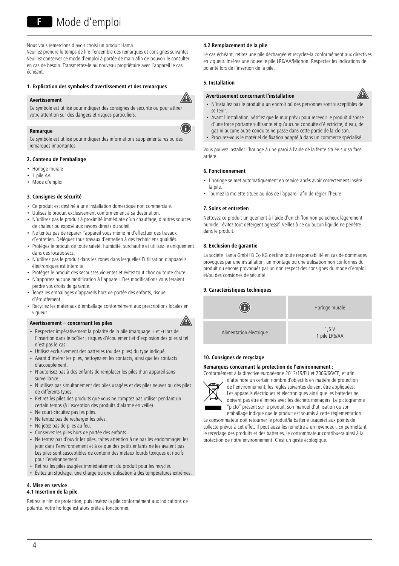Nous vous remercions d'avoir choisi un produit Hama. Veuillez prendre le temps de lire l'ensemble des remarques et consignes suivantes. Veuillez conserver ce mode d'emploi à portée de main afin de pouvoir le consulter en cas de besoin. Transmettez-le au nouveau propriétaire avec l'appareil le cas échéant.

## **1. Explication des symboles d'avertissement et des remarques**

#### **Avertissement**

⚠

G

Ce symbole est utilisé pour indiquer des consignes de sécurité ou pour attirer votre attention sur des dangers et risques particuliers.

## **Remarque**

Ce symbole est utilisé pour indiquer des informations supplémentaires ou des remarques importantes.

### **2. Contenu de l'emballage**

- Horloge murale
- $\cdot$  1 pile  $\Delta\Delta$
- Mode d'emploi

## **3. Consignes de sécurité**

- Ce produit est destiné à une installation domestique non commerciale.
- Utilisez le produit exclusivement conformément à sa destination.
- N'utilisez pas le produit à proximité immédiate d'un chauffage, d'autres sources de chaleur ou exposé aux rayons directs du soleil.
- Ne tentez pas de réparer l'appareil vous-même ni d'effectuer des travaux d'entretien. Déléguez tous travaux d'entretien à des techniciens qualifiés.
- Protégez le produit de toute saleté, humidité, surchauffe et utilisez-le uniquement dans des locaux secs.
- N'utilisez pas le produit dans les zones dans lesquelles l'utilisation d'appareils électroniques est interdite.
- Protégez le produit des secousses violentes et évitez tout choc ou toute chute.
- N'apportez aucune modification à l'appareil. Des modifications vous feraient perdre vos droits de garantie.
- Tenez les emballages d'appareils hors de portée des enfants, risque d'étouffement.
- Recyclez les matériaux d'emballage conformément aux prescriptions locales en vigueur.

#### **Avertissement – concernant les piles**

- 
- Respectez impérativement la polarité de la pile (marquage + et -) lors de l'insertion dans le boîtier ; risques d'écoulement et d'explosion des piles si tel n'est pas le cas.
- Utilisez exclusivement des batteries (ou des piles) du type indiqué.
- Avant d'insérer les piles, nettoyez-en les contacts, ainsi que les contacts d'accouplement.
- N'autorisez pas à des enfants de remplacer les piles d'un appareil sans surveillance.
- N'utilisez pas simultanément des piles usagées et des piles neuves ou des piles de différents types.
- Retirez les piles des produits que vous ne comptez pas utiliser pendant un certain temps (à l'exception des produits d'alarme en veille).
- Ne court-circuitez pas les piles.
- Ne tentez pas de recharger les piles.
- Ne jetez pas de piles au feu.
- Conservez les piles hors de portée des enfants.
- Ne tentez pas d'ouvrir les piles, faites attention à ne pas les endommager, les jeter dans l'environnement et à ce que des petits enfants ne les avalent pas. Les piles sont susceptibles de contenir des métaux lourds toxiques et nocifs pour l'environnement.
- Retirez les piles usagées immédiatement du produit pour les recycler.
- Évitez un stockage, une charge ou une utilisation à des températures extrêmes.

## **4. Mise en service**

## **4.1 Insertion de la pile**

Retirez le film de protection, puis insérez la pile conformément aux indications de polarité. Votre horloge est alors prête à fonctionner.

## **4.2 Remplacement de la pile**

Le cas échéant, retirez une pile déchargée et recyclez-la conformément aux directives en vigueur. Insérez une nouvelle pile LR6/AA/Mignon. Respectez les indications de polarité lors de l'insertion de la pile.

#### **5. Installation**

## **Avertissement concernant l'installation**



- N'installez pas le produit à un endroit où des personnes sont susceptibles de se tenir.
- Avant l'installation, vérifiez que le mur prévu pour recevoir le produit dispose d'une force portante suffisante et qu'aucune conduite d'électricité, d'eau, de gaz ni aucune autre conduite ne passe dans cette partie de la cloison.
- Procurez-vous le matériel de fixation adapté à dans un commerce spécialisé.

Vous pouvez installer l'horloge à une paroi à l'aide de la fente située sur sa face arrière.

#### **6. Fonctionnement**

- L'horloge se met automatiquement en service après avoir correctement inséré la pile.
- Tournez la molette située au dos de l'appareil afin de régler l'heure.

#### **7. Soins et entretien**

Nettoyez ce produit uniquement à l'aide d'un chiffon non pelucheux légèrement humide ; évitez tout détergent agressif. Veillez à ce qu'aucun liquide ne pénètre dans le produit.

#### **8. Exclusion de garantie**

La société Hama GmbH & Co KG décline toute responsabilité en cas de dommages provoqués par une installation, un montage ou une utilisation non conformes du produit ou encore provoqués par un non respect des consignes du mode d'emploi et/ou des consignes de sécurité.

## **9. Caractéristiques techniques**



## **10. Consignes de recyclage**

### **Remarques concernant la protection de l'environnement :**

Conformément à la directive européenne 2012/19/EU et 2006/66/CE, et afin



d'atteindre un certain nombre d'objectifs en matière de protection de l'environnement, les règles suivantes doivent être appliquées: Les appareils électriques et électroniques ainsi que les batteries ne doivent pas être éliminés avec les déchets ménagers. Le pictogramme "picto" présent sur le produit, son manuel d'utilisation ou son emballage indique que le produit est soumis à cette réglementation.

Le consommateur doit retourner le produit/la batterie usagé(e) aux points de collecte prévus à cet effet. Il peut aussi les remettre à un revendeur. En permettant le recyclage des produits et des batteries, le consommateur contribuera ainsi à la protection de notre environnement. C'est un geste écologique.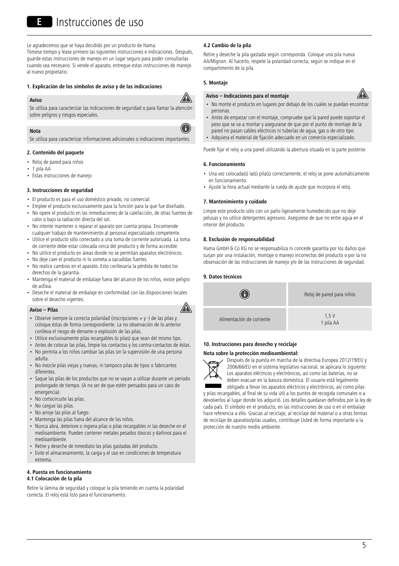Le agradecemos que se haya decidido por un producto de Hama. Tómese tiempo y léase primero las siguientes instrucciones e indicaciones. Después, guarde estas instrucciones de manejo en un lugar seguro para poder consultarlas cuando sea necesario. Si vende el aparato, entregue estas instrucciones de manejo al nuevo propietario.

## **1. Explicación de los símbolos de aviso y de las indicaciones**

#### **Aviso**



G

A

Se utiliza para caracterizar las indicaciones de seguridad o para llamar la atención sobre peligros y riesgos especiales.

## **Nota**

Se utiliza para caracterizar informaciones adicionales o indicaciones importantes.

## **2. Contenido del paquete**

- Reloj de pared para niños
- $\cdot$  1 pila AA
- Estas instrucciones de manejo

#### **3. Instrucciones de seguridad**

- El producto es para el uso doméstico privado, no comercial.
- Emplee el producto exclusivamente para la función para la que fue diseñado. • No opere el producto en las inmediaciones de la calefacción, de otras fuentes de
- calor o bajo la radiación directa del sol. • No intente mantener o reparar el aparato por cuenta propia. Encomiende cualquier trabajo de mantenimiento al personal especializado competente.
- Utilice el producto sólo conectado a una toma de corriente autorizada. La toma de corriente debe estar colocada cerca del producto y de forma accesible.
- No utilice el producto en áreas donde no se permitan aparatos electrónicos.
- No deje caer el producto ni lo someta a sacudidas fuertes.
- No realice cambios en el aparato. Esto conllevaría la pérdida de todos los derechos de la garantía.
- Mantenga el material de embalaje fuera del alcance de los niños, existe peligro de asfixia.
- Deseche el material de embalaje en conformidad con las disposiciones locales sobre el desecho vigentes.

## **Aviso – Pilas**

- Observe siempre la correcta polaridad (inscripciones +y-) de las pilas y coloque éstas de forma correspondiente. La no observación de lo anterior conlleva el riesgo de derrame o explosión de las pilas.
- Utilice exclusivamente pilas recargables (o pilas) que sean del mismo tipo.
- Antes de colocar las pilas, limpie los contactos y los contra-contactos de éstas.
- No permita a los niños cambiar las pilas sin la supervisión de una persona adulta.
- No mezcle pilas viejas y nuevas, ni tampoco pilas de tipos o fabricantes diferentes.
- Saque las pilas de los productos que no se vayan a utilizar durante un periodo prolongado de tiempo. (A no ser de que estén pensados para un caso de emergencia)
- No cortocircuite las pilas.
- No cargue las pilas.
- No arroje las pilas al fuego.
- Mantenga las pilas fuera del alcance de los niños.
- Nunca abra, deteriore o ingiera pilas o pilas recargables ni las deseche en el medioambiente. Pueden contener metales pesados tóxicos y dañinos para el medioambiente.
- Retire y deseche de inmediato las pilas gastadas del producto.
- Evite el almacenamiento, la carga y el uso en condiciones de temperatura extrema.

## **4. Puesta en funcionamiento**

## **4.1 Colocación de la pila**

Retire la lámina de seguridad y coloque la pila teniendo en cuenta la polaridad correcta. El reloj está listo para el funcionamiento.

## **4.2 Cambio de la pila**

Retire y deseche la pila gastada según corresponda. Cologue una pila nueva AA/Mignon. Al hacerlo, respete la polaridad correcta, según se indique en el compartimento de la pila.

## **5. Montaje**

#### **Aviso – Indicaciones para el montaje**



- No monte el producto en lugares por debajo de los cuales se puedan encontrar personas.
- Antes de empezar con el montaje, compruebe que la pared puede soportar el peso que se va a montar y asegurarse de que por el punto de montaje de la pared no pasan cables eléctricos ni tuberías de agua, gas o de otro tipo.
- Adquiera el material de fijación adecuado en un comercio especializado.

Puede fijar el reloj a una pared utilizando la abertura situada en la parte posterior.

### **6. Funcionamiento**

- Una vez colocada(s) la(s) pila(s) correctamente, el reloj se pone automáticamente en funcionamiento.
- Ajuste la hora actual mediante la rueda de ajuste que incorpora el reloj.

#### **7. Mantenimiento y cuidado**

Limpie este producto sólo con un paño ligeramente humedecido que no deje pelusas y no utilice detergentes agresivos. Asegúrese de que no entre agua en el interior del producto.

## **8. Exclusión de responsabilidad**

Hama GmbH & Co KG no se responsabiliza ni concede garantía por los daños que surjan por una instalación, montaje o manejo incorrectos del producto o por la no observación de las instrucciones de manejo y/o de las instrucciones de seguridad.

#### **9. Datos técnicos**



## **10. Instrucciones para desecho y reciclaje**

## **Nota sobre la protección medioambiental:**



Después de la puesta en marcha de la directiva Europea 2012/19/EU y 2006/66/EU en el sistema legislativo nacional, se aplicara lo siguiente: Los aparatos eléctricos y electrónicos, así como las baterías, no se deben evacuar en la basura doméstica. El usuario está legalmente obligado a llevar los aparatos eléctricos y electrónicos, así como pilas

y pilas recargables, al final de su vida útil a los puntos de recogida comunales o a devolverlos al lugar donde los adquirió. Los detalles quedaran definidos por la ley de cada país. El símbolo en el producto, en las instrucciones de uso o en el embalaje hace referencia a ello. Gracias al reciclaje, al reciclaje del material oaotras formas de reciclaje de aparatos/pilas usados, contribuye Usted de forma importante a la protección de nuestro medio ambiente.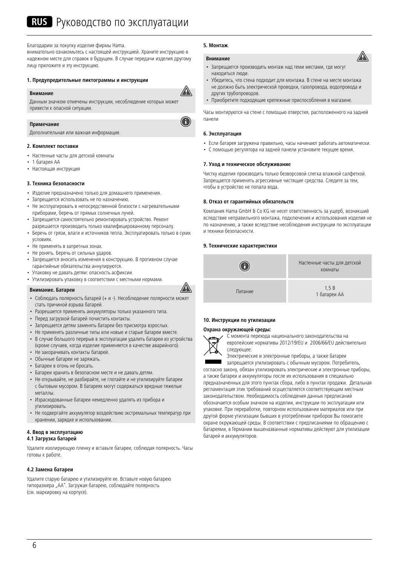## RUS Руководство по эксплуатации

#### Благодарим за покупку изделия фирмы Hama.

внимательно ознакомьтесь с настоящей инструкцией. Храните инструкцию в надежном месте для справок в будущем. В случае передачи изделия другому лицу приложите и эту инструкцию.

## **1. Предупредительные пиктограммы и инструкции**

#### **Внимание**

⚠

 $\bigcirc$ 

A

Данным значком отмечены инструкции, несоблюдение которых может привести к опасной ситуации.

#### **Примечание**

Дополнительная или важная информация.

#### **2. Комплект поставки**

- Настенные часты для детской комнаты
- 1 батарея АА
- Настоящая инструкция

## **3. Техника безопасности**

- Изделие предназначено только для домашнего применения.
- Запрещается использовать не по назначению.
- Не эксплуатировать в непосредственной близости с нагревательными приборами, беречь от прямых солнечных лучей.
- Запрещается самостоятельно ремонтировать устройство. Ремонт разрешается производить только квалифицированному персоналу.
- Беречь от грязи, влаги и источников тепла. Эксплуатировать только в сухих условиях.
- Не применять в запретных зонах.
- Не ронять. Беречь от сильных ударов.
- Запрещается вносить изменения в конструкцию. В противном случае гарантийные обязательства аннулируются.
- Упаковку не давать детям: опасность асфиксии.
- Утилизировать упаковку в соответствии с местными нормами.

### **Внимание. Батареи**

- Соблюдать полярность батарей (+ и -). Несоблюдение полярности может стать причиной взрыва батарей.
- Разрешается применять аккумуляторы только указанного типа.
- Перед загрузкой батарей почистить контакты.
- Запрещается детям заменять батареи без присмотра взрослых.
- Не применять различные типы или новые и старые батареи вместе.
- В случае большого перерыв в эксплуатации удалить батареи из устройства (кроме случаев, когда изделие применяется в качестве аварийного).
- Не закорачивать контакты батарей.
- Обычные батареи не заряжать.
- Батареи в огонь не бросать.
- Батареи хранить в безопасном месте и не давать детям.
- Не открывайте, не разбирайте, не глотайте и не утилизируйте батареи с бытовым мусором. В батареях могут содержаться вредные тяжелые металлы.
- Израсходованные батареи немедленно удалять из прибора и утилизировать.
- Не подвергайте аккумулятор воздействию экстремальных температур при хранении, зарядке и использовании.

## **4. Ввод в эксплуатацию**

#### **4.1 Загрузка батарей**

Удалите изолирующую пленку и вставьте батареи, соблюдая полярность. Часы готовы к работе.

#### **4.2 Замена батареи**

Удалите старую батарею и утилизируйте ее. Вставьте новую батарею типоразмера "АА". Загружая батарею, соблюдайте полярность (см. маркировку на корпусе).

#### **5. Монтаж**.

## **Внимание**

- Запрещается производить монтаж над теми местами, где могут находиться люди.
- Убедитесь, что стена подходит для монтажа. В стене на месте монтажа не должно быть электрической проводки, газопровода, водопровода и других трубопроводов.
- Приобретите подходящие крепежные приспособления в магазине.

Часы монтируются на стене с помощью отверстия, расположенного на задней панели

#### **6. Эксплуатация**

- Если батарея загружена правильно, часы начинают работать автоматически.
- С помощью регулятора на задней панели установите текущее время.

#### **7. Уход и техническое обслуживание**

Чистку изделия производить только безворсовой слегка влажной салфеткой. Запрещается применять агрессивные чистящие средства. Следите за тем, чтобы в устройство не попала вода.

#### **8. Отказ от гарантийных обязательств**

Компания Hama GmbH & Co KG не несет ответственность за ущерб, возникший вследствие неправильного монтажа, подключения и использования изделия не по назначению, а также вследствие несоблюдения инструкции по эксплуатации и техники безопасности.

#### **9. Технические характеристики**



#### **10. Инструкции по утилизации**

#### **Охрана окружающей среды:**



С момента перехода национального законодательства на европейские нормативы 2012/19/EU и 2006/66/EU действительно следующее:

Электрические и электронные приборы, а также батареи запрещается утилизировать с обычным мусором. Потребитель,

согласно закону, обязан утилизировать электрические и электронные приборы, а также батареи и аккумуляторы после их использования в специально предназначенных для этого пунктах сбора, либо в пунктах продажи. Детальная регламентация этих требований осуществляется соответствующим местным законодательством. Необходимость соблюдения данных предписаний обозначается особым значком на изделии, инструкции по эксплуатации или упаковке. При переработке, повторном использовании материалов или при другой форме утилизации бывших в употреблении приборов Вы помогаете охране окружающей среды. В соответствии с предписаниями по обращению с батареями, в Германии вышеназванные нормативы действуют для утилизации батарей и аккумуляторов.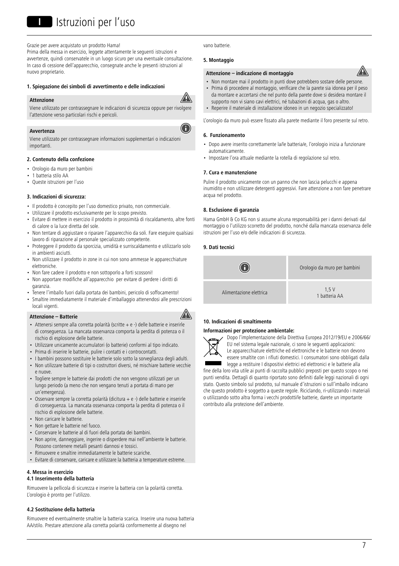Grazie per avere acquistato un prodotto Hama!

Prima della messa in esercizio, leggete attentamente le seguenti istruzioni e avvertenze, quindi conservatele in un luogo sicuro per una eventuale consultazione. In caso di cessione dell'apparecchio, consegnate anche le presenti istruzioni al nuovo proprietario.

#### **1. Spiegazione dei simboli di avvertimento e delle indicazioni**

#### **Attenzione**



A

Viene utilizzato per contrassegnare le indicazioni di sicurezza oppure per rivolgere l'attenzione verso particolari rischi e pericoli.

## **Avvertenza**

Viene utilizzato per contrassegnare informazioni supplementari o indicazioni importanti.

### **2. Contenuto della confezione**

- Orologio da muro per bambini
- 1 batteria stilo AA
- Queste istruzioni per l'uso

#### **3. Indicazioni di sicurezza:**

- Il prodotto è concepito per l'uso domestico privato, non commerciale.
- Utilizzare il prodotto esclusivamente per lo scopo previsto.
- Evitare di mettere in esercizio il prodotto in prossimità di riscaldamento, altre fonti di calore o la luce diretta del sole.
- Non tentare di aggiustare o riparare l'apparecchio da soli. Fare eseguire qualsiasi lavoro di riparazione al personale specializzato competente.
- Proteggere il prodotto da sporcizia, umidità e surriscaldamento e utilizzarlo solo in ambienti asciutti.
- Non utilizzare il prodotto in zone in cui non sono ammesse le apparecchiature elettroniche.
- Non fare cadere il prodotto e non sottoporlo a forti scossoni!
- Non apportare modifiche all'apparecchio per evitare di perdere i diritti di garanzia.
- Tenere l'imballo fuori dalla portata dei bambini, pericolo di soffocamento!
- Smaltire immediatamente il materiale d'imballaggio attenendosi alle prescrizioni locali vigenti.

#### **Attenzione – Batterie**

- Attenersi sempre alla corretta polarità (scritte +e-) delle batterie e inserirle di conseguenza. La mancata osservanza comporta la perdita di potenza o il rischio di esplosione delle batterie.
- Utilizzare unicamente accumulatori (o batterie) conformi al tipo indicato.
- Prima di inserire le batterie, pulire i contatti e i controcontatti.
- I bambini possono sostituire le batterie solo sotto la sorveglianza degli adulti.
- Non utilizzare batterie di tipi o costruttori diversi, né mischiare batterie vecchie e nuove.
- Togliere sempre le batterie dai prodotti che non vengono utilizzati per un lungo periodo (a meno che non vengano tenuti a portata di mano per un'emergenza).
- Osservare sempre la corretta polarità (dicitura+e-) delle batterie e inserirle di conseguenza. La mancata osservanza comporta la perdita di potenza o il rischio di esplosione delle batterie.
- Non caricare le batterie.
- Non gettare le batterie nel fuoco.
- Conservare le batterie al di fuori della portata dei bambini.
- Non aprire, danneggiare, ingerire o disperdere mai nell'ambiente le batterie. Possono contenere metalli pesanti dannosi e tossici.
- Rimuovere e smaltire immediatamente le batterie scariche.
- Evitare di conservare, caricare e utilizzare la batteria a temperature estreme

#### **4. Messa in esercizio**

## **4.1 Inserimento della batteria**

Rimuovere la pellicola di sicurezza e inserire la batteria con la polarità corretta. L'orologio è pronto per l'utilizzo.

### **4.2 Sostituzione della batteria**

Rimuovere ed eventualmente smaltire la batteria scarica. Inserire una nuova batteria AA/stilo. Prestare attenzione alla corretta polarità conformemente al disegno nel

vano batterie.

#### **5. Montaggio**

#### **Attenzione – indicazione di montaggio**

- Non montare mai il prodotto in punti dove potrebbero sostare delle persone.
- Prima di procedere al montaggio, verificare che la parete sia idonea per il peso da montare e accertarsi che nel punto della parete dove si desidera montare il supporto non vi siano cavi elettrici, né tubazioni di acqua, gas o altro.
- Reperire il materiale di installazione idoneo in un negozio specializzato!

L'orologio da muro può essere fissato alla parete mediante il foro presente sul retro.

#### **6. Funzionamento**

- Dopo avere inserito correttamente la/le batteria/e, l'orologio inizia a funzionare automaticamente.
- Impostare l'ora attuale mediante la rotella di regolazione sul retro.

#### **7. Cura e manutenzione**

Pulire il prodotto unicamente con un panno che non lascia pelucchi e appena inumidito e non utilizzare detergenti aggressivi. Fare attenzione a non fare penetrare acqua nel prodotto.

#### **8. Esclusione di garanzia**

Hama GmbH & Co KG non si assume alcuna responsabilità per i danni derivati dal montaggio o l'utilizzo scorretto del prodotto, nonché dalla mancata osservanza delle istruzioni per l'uso e/o delle indicazioni di sicurezza.

## **9. Dati tecnici**



## **10. Indicazioni di smaltimento**

#### **Informazioni per protezione ambientale:**



A

Dopo l'implementazione della Direttiva Europea 2012/19/EU e 2006/66/ EU nel sistema legale nazionale, ci sono le seguenti applicazioni: Le apparecchiature elettriche ed elettroniche e le batterie non devono essere smaltite con i rifiuti domestici. I consumatori sono obbligati dalla legge a restituire I dispositivi elettrici ed elettronici e le batterie alla

fine della loro vita utile ai punti di raccolta pubblici preposti per questo scopo o nei punti vendita. Dettagli di quanto riportato sono definiti dalle leggi nazionali di ogni stato. Questo simbolo sul prodotto, sul manuale d'istruzioni o sull'imballo indicano che questo prodotto è soggetto a queste regole. Riciclando, ri-utilizzando i materiali o utilizzando sotto altra forma i vecchi prodotti/le batterie, darete un importante contributo alla protezione dell'ambiente.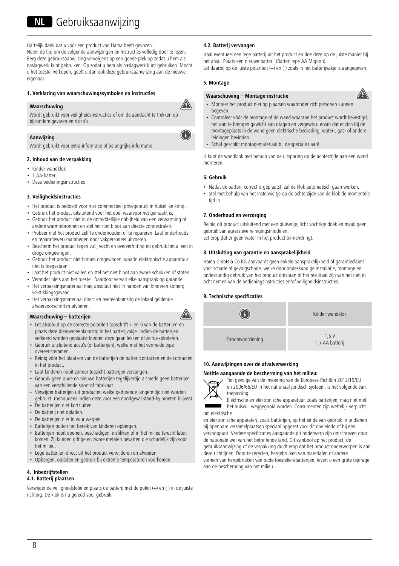## NL Gebruiksaanwijzing

Hartelijk dank dat u voor een product van Hama heeft gekozen. Neem de tijd om de volgende aanwijzingen en instructies volledig door te lezen. Berg deze gebruiksaanwijzing vervolgens op een goede plek op zodat u hem als

naslagwerk kunt gebruiken. Op zodat u hem als naslagwerk kunt gebruiken. Mocht u het toestel verkopen, geeft u dan ook deze gebruiksaanwijzing aan de nieuwe eigenaar.

## **1. Verklaring van waarschuwingssymbolen en instructies**

## **Waarschuwing**

Wordt gebruikt voor veiligheidsinstructies of om de aandacht te trekken op bijzondere gevaren en risico's.

## **Aanwijzing**

Wordt gebruikt voor extra informatie of belangrijke informatie.

## **2. Inhoud van de verpakking**

- Kinder-wandklok
- 1 AA-batterij
- Deze bedieningsinstructies

## **3. Veiligheidsinstructies**

- Het product is bedoeld voor niet-commercieel privegebruik in huiselijke kring.
- Gebruik het product uitsluitend voor het doel waarvoor het gemaakt is.
- Gebruik het product niet in de onmiddellijke nabijheid van een verwarming of andere warmtebronnen en stel het niet bloot aan directe zonnestralen.
- Probeer niet het product zelf te onderhouden of te repareren. Laat onderhoudsen reparatiewerkzaamheden door vakpersoneel uitvoeren.
- Bescherm het product tegen vuil, vocht en oververhitting en gebruik het alleen in droge omgevingen.
- Gebruik het product niet binnen omgevingen, waarin elektronische apparatuur niet is toegestaan.
- Laat het product niet vallen en stel het niet bloot aan zware schokken of stoten.
- Verander niets aan het toestel. Daardoor vervalt elke aanspraak op garantie.
- Het verpakkingsmateriaal mag absoluut niet in handen van kinderen komen; verstikkingsgevaar.
- Het verpakkingsmateriaal direct en overeenkomstig de lokaal geldende afvoervoorschriften afvoeren.

## **Waarschuwing – batterijen**



- Let absoluut op de correcte polariteit (opschrift + en -) van de batterijen en plaats deze dienovereenkomstig in het batterijvakje. Indien de batterijen verkeerd worden geplaatst kunnen deze gaan lekken of zelfs exploderen.
- Gebruik uitsluitend accu's (of batterijen), welke met het vermelde type overeenstemmen.
- Reinig vóór het plaatsen van de batterijen de batterijcontacten en de contacten in het product.
- Laat kinderen nooit zonder toezicht batterijen vervangen.
- Gebruik geen oude en nieuwe batterijen tegelijkertijd alsmede geen batterijen van een verschillende soort of fabrikaat.
- Verwijder batterijen uit producten welke gedurende langere tijd niet worden gebruikt. (behoudens indien deze voor een noodgeval stand-by moeten blijven)
- De batterijen niet kortsluiten.
- De batterij niet opladen.
- De batterijen niet in vuur werpen.
- Batterijen buiten het bereik van kinderen opbergen.
- Batterijen nooit openen, beschadigen, inslikken of in het milieu terecht laten komen. Zij kunnen giftige en zware metalen bevatten die schadelijk zijn voor het milieu.
- Lege batterijen direct uit het product verwijderen en afvoeren.
- Opbergen, opladen en gebruik bij extreme temperaturen voorkomen.

## **4. Inbedrijfstellen**

## **4.1. Batterij plaatsen**

Verwijder de veiligheidsfolie en plaats de batterij met de polen (+) en (-) in de juiste richting. De klok is nu gereed voor gebruik.

## **4.2. Batterij vervangen**

Haal eventueel een lege batterij uit het product en doe deze op de juiste manier bij het afval. Plaats een nieuwe batterij (Batterijtype AA Mignon). Let daarbij op de juiste polariteit (+) en (-) zoals in het batterijvakje is aangegeven.

## **5. Montage**

⚠

G

## **Waarschuwing – Montage-instructie**



- Monteer het product niet op plaatsen waaronder zich personen kunnen begeven.
- Controleer vóór de montage of de wand waaraan het product wordt bevestigd, het aan te brengen gewicht kan dragen en vergewis u ervan dat er zich bij de montageplaats in de wand geen elektrische bedrading, water-, gas- of andere leidingen bevinden.
- Schaf geschikt montagemateriaal bij de specialist aan!

U kunt de wandklok met behulp van de uitsparing op de achterzijde aan een wand monteren.

## **6. Gebruik**

- Nadat de batterij correct is geplaatst, zal de klok automatisch gaan werken.
- Stel met behulp van het instelwieltje op de achterzijde van de klok de momentele tijd in.

## **7. Onderhoud en verzorging**

Reinig dit product uitsluitend met een pluisvrije, licht vochtige doek en maak geen gebruik van agressieve reinigingsmiddelen.

Let erop dat er geen water in het product binnendringt.

## **8. Uitsluiting van garantie en aansprakelijkheid**

Hama GmbH & Co KG aanvaardt geen enkele aansprakelijkheid of garantieclaims voor schade of gevolgschade, welke door ondeskundige installatie, montage en ondeskundig gebruik van het product ontstaan of het resultaat zijn van het niet in acht nemen van de bedieningsinstructies en/of veiligheidsinstructies.

## **9. Technische specificaties**



## **10. Aanwijzingen over de afvalverwerking**

## **Notitie aangaande de bescherming van het milieu:**



Ten gevolge van de invoering van de Europese Richtlijn 2012/19/EU en 2006/66/EU in het nationaal juridisch systeem, is het volgende van toepassing:



Elektrische en elektronische apparatuur, zoals batterijen, mag niet met het huisvuil weggegooid worden. Consumenten zijn wettelijk verplicht

en elektronische apparaten, zoals batterijen, op het einde van gebruik in te dienen bij openbare verzamelplaatsen speciaal opgezet voor dit doeleinde of bij een verkooppunt. Verdere specificaties aangaande dit onderwerp zijn omschreven door de nationale wet van het betreffende land. Dit symbool op het product, de gebruiksaanwijzing of de verpakking duidt erop dat het product onderworpen is aan deze richtlijnen. Door te recyclen, hergebruiken van materialen of andere vormen van hergebruiken van oude toestellen/batterijen, levert u een grote bijdrage aan de bescherming van het milieu.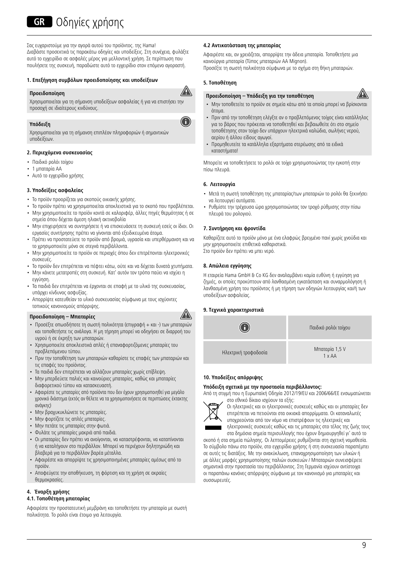## **GR** Οδηνίες χρήσης

Σας ευχαριστούμε για την αγορά αυτού του προϊόντος. της Hama! Διαβάστε προσεκτικά τις παρακάτω οδηγίες και υποδείξεις. Στη συνέχεια, φυλάξτε αυτό το εγχειρίδιο σε ασφαλές μέρος για μελλοντική χρήση. Σε περίπτωση που πουλήσετε της συσκευή, παραδώστε αυτό το εγχειρίδιο στον επόμενο αγοραστή.

## **1. Επεξήγηση συμβόλων προειδοποίησης και υποδείξεων**

## **Προειδοποίηση**

A Χρησιμοποιείται για τη σήμανση υποδείξεων ασφαλείας ή για να επιστήσει την

O



Χρησιμοποιείται για τη σήμανση επιπλέον πληροφοριών ή σημαντικών υποδείξεων.

## **2. Περιεχόμενα συσκευασίας**

προσοχή σε ιδιαίτερους κινδύνους.

- Παιδικό ρολόι τοίχου
- $\cdot$  1 μπαταρία AA
- Αυτό το εγχειρίδιο χρήσης

## **3. Υποδείξεις ασφαλείας**

- Το προϊόν προορίζεται για σκοπούς οικιακής χρήσης.
- Το προϊόν πρέπει να χρησιμοποιείται αποκλειστικά για το σκοπό που προβλέπεται. • Μην χρησιμοποιείτε το προϊόν κοντά σε καλοριφέρ, άλλες πηγές θερμότητας ή σε
- σημεία όπου δέχεται άμεση ηλιακή ακτινοβολία • Μην επιχειρήσετε να συντηρήσετε ή να επισκευάσετε τη συσκευή εσείς οι ίδιοι. Οι
- εργασίες συντήρησης πρέπει να γίνονται από εξειδικευμένα άτομα. • Πρέπει να προστατεύετε το προϊόν από βρομιά, υγρασία και υπερθέρμανση και να
- το χρησιμοποιείτε μόνο σε στεγνά περιβάλλοντα.
- Μην χρησιμοποιείτε το προϊόν σε περιοχές όπου δεν επιτρέπονται ηλεκτρονικές συσκευές.
- Το προϊόν δεν επιτρέπεται να πέφτει κάτω, ούτε και να δέχεται δυνατά χτυπήματα.
- Μην κάνετε μετατροπές στη συσκευή. Κατ' αυτόν τον τρόπο παύει να ισχύει η εγγύηση.
- Τα παιδιά δεν επιτρέπεται να έρχονται σε επαφή με το υλικό της συσκευασίας, υπάρχει κίνδυνος ασφυξίας.
- Απορρίψτε κατευθείαν το υλικό συσκευασίας σύμφωνα με τους ισχύοντες τοπικούς κανονισμούς απόρριψης.

## **Προειδοποίηση – Μπαταρίες**



- Προσέξτε οπωσδήποτε τη σωστή πολικότητα (επιγραφή + και -) των μπαταριών και τοποθετήστε τις ανάλογα. Η μη τήρηση μπορεί να οδηγήσει σε διαρροή του υγρού ή σε έκρηξη των μπαταριών.
- Χρησιμοποιείτε αποκλειστικά απλές ή επαναφορτιζόμενες μπαταρίες του προβλεπόμενου τύπου.
- Πριν την τοποθέτηση των μπαταριών καθαρίστε τις επαφές των μπαταριών και τις επαφές του προϊόντος.
- Τα παιδιά δεν επιτρέπεται να αλλάζουν μπαταρίες χωρίς επίβλεψη.
- Μην μπερδεύετε παλιές και καινούριες μπαταρίες, καθώς και μπαταρίες διαφορετικού τύπου και κατασκευαστή.
- Αφαιρέστε τις μπαταρίες από προϊόντα που δεν έχουν χρησιμοποιηθεί για μεγάλο χρονικό διάστημα (εκτός αν θέλετε να τα χρησιμοποιήσετε σε περιπτώσεις έκτακτης ανάγκης)
- Μην βραχυκυκλώνετε τις μπαταρίες.
- Μην φορτίζετε τις απλές μπαταρίες.
- Μην πετάτε τις μπαταρίες στην φωτιά.
- Φυλάτε τις μπαταρίες μακριά από παιδιά.
- Οι μπαταρίες δεν πρέπει να ανοίγονται, να καταστρέφονται, να καταπίνονται ή να καταλήγουν στο περιβάλλον. Μπορεί να περιέχουν δηλητηριώδη και βλαβερά για το περιβάλλον βαρέα μέταλλα.
- Αφαιρέστε και απορρίψτε τις χρησιμοποιημένες μπαταρίες αμέσως από το προϊόν.
- Αποφεύγετε την αποθήκευση, τη φόρτιση και τη χρήση σε ακραίες θερμοκρασίες.

## **4. Έναρξη χρήσης**

## **4.1. Τοποθέτηση μπαταρίας**

Αφαιρέστε την προστατευτική μεμβράνη και τοποθετήστε την μπαταρία με σωστή πολικότητα. Το ρολόι είναι έτοιμο για λειτουργία.

## **4.2 Αντικατάσταση της μπαταρίας**

Αφαιρέστε και, αν χρειάζεται, απορρίψτε την άδεια μπαταρία. Τοποθετήστε μια καινούργια μπαταρία (Τύπος μπαταριών AA Mignon). Προσέξτε τη σωστή πολικότητα σύμφωνα με το σχήμα στη θήκη μπαταριών.

## **5. Τοποθέτηση**

## **Προειδοποίηση – Υπόδειξη για την τοποθέτηση**



- Μην τοποθετείτε το προϊόν σε σημεία κάτω από τα οποία μπορεί να βρίσκονται άτομα.
- Πριν από την τοποθέτηση ελέγξτε αν ο προβλεπόμενος τοίχος είναι κατάλληλος για το βάρος που πρόκειται να τοποθετηθεί και βεβαιωθείτε ότι στο σημείο τοποθέτησης στον τοίχο δεν υπάρχουν ηλεκτρικά καλώδια, σωλήνες νερού, αερίου ή άλλου είδους αγωγοί.
- Προμηθευτείτε τα κατάλληλα εξαρτήματα στερέωσης από τα ειδικά καταστήματα!

Μπορείτε να τοποθετήσετε το ρολόι σε τοίχο χρησιμοποιώντας την εγκοπή στην πίσω πλευρά.

## **6. Λειτουργία**

- Μετά τη σωστή τοποθέτηση της μπαταρίας/των μπαταριών το ρολόι θα ξεκινήσει να λειτουργεί αυτόματα.
- Ρυθμίστε την τρέχουσα ώρα χρησιμοποιώντας τον τροχό ρύθμισης στην πίσω πλευρά του ρολογιού.

## **7. Συντήρηση και φροντίδα**

Καθαρίζετε αυτό το προϊόν μόνο με ένα ελαφρώς βρεγμένο πανί χωρίς χνούδια και μην χρησιμοποιείτε επιθετικά καθαριστικά. Στο προϊόν δεν πρέπει να μπει νερό.

## **8. Απώλεια εγγύησης**

Η εταιρεία Hama GmbH & Co KG δεν αναλαμβάνει καμία ευθύνη ή εγγύηση για ζημιές, οι οποίες προκύπτουν από λανθασμένη εγκατάσταση και συναρμολόγηση ή λανθασμένη χρήση του προϊόντος ή μη τήρηση των οδηγιών λειτουργίας και/ή των υποδείξεων ασφαλείας.

## **9. Τεχνικά χαρακτηριστικά**

|                      | Παιδικό ρολόι τοίχου     |
|----------------------|--------------------------|
| Ηλεκτρική τροφοδοσία | Μπαταρία 1,5 V<br>1 x AA |

## **10. Υποδείξεις απόρριψης**

#### **Υπόδειξη σχετικά με την προστασία περιβάλλοντος:**

Από τη στιγμή που η Ευρωπαϊκή Οδηγία 2012/19/EU και 2006/66/EE ενσωματώνεται στο εθνικό δίκαιο ισχύουν τα εξής:



Οι ηλεκτρικές και οι ηλεκτρονικές συσκευές καθώς και οι μπαταρίες δεν επιτρέπεται να πετιούνται στα οικιακά απορρίμματα. Οι καταναλωτές υποχρεούνται από τον νόμο να επιστρέφουν τις ηλεκτρικές και ηλεκτρονικές συσκευές καθώς και τις μπαταρίες στο τέλος της ζωής τους στα δημόσια σημεία περισυλλογής που έχουν δημιουργηθεί γι' αυτό το

σκοπό ή στα σημεία πώλησης. Οι λεπτομέρειες ρυθμίζονται στη σχετική νομοθεσία. Το σύμβολο πάνω στο προϊόν, στο εγχειρίδιο χρήσης ή στη συσκευασία παραπέμπει σε αυτές τις διατάξεις. Με την ανακύκλωση, επαναχρησιμοποίηση των υλικών ή με άλλες μορφές χρησιμοποίησης παλιών συσκευών / Μπαταριών συνεισφέρετε σημαντικά στην προστασία του περιβάλλοντος. Στη Γερμανία ισχύουν αντίστοιχα οι παραπάνω κανόνες απόρριψης σύμφωνα με τον κανονισμό για μπαταρίες και συσσωρευτές.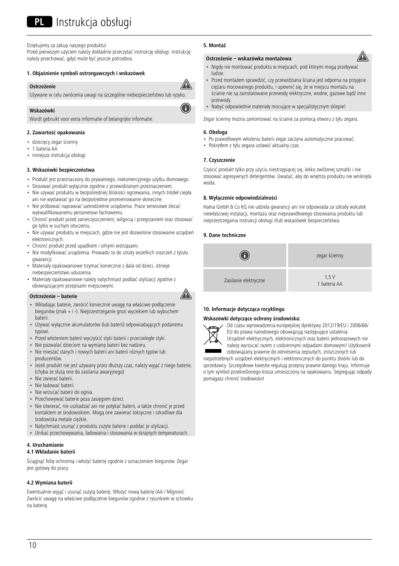## PI Instrukcja obsługi

Dziękujemy za zakup naszego produktu!

Przed pierwszym użyciem należy dokładnie przeczytać instrukcję obsługi. Instrukcję należy przechować, gdyż może być jeszcze potrzebna.

### **1. Objaśnienie symboli ostrzegawczych i wskazówek**

#### **Ostrzeżenie**

Używane w celu zwrócenia uwagi na szczególne niebezpieczeństwo lub ryzyko.

#### **Wskazówki**

Wordt gebruikt voor extra informatie of belangrijke informatie.

## **2. Zawartość opakowania**

- dziecięcy zegar ścienny
- 1 bateria AA
- niniejsza instrukcja obsługi

## **3. Wskazówki bezpieczeństwa**

- Produkt jest przeznaczony do prywatnego, niekomercyjnego użytku domowego.
- Stosować produkt wyłącznie zgodnie z przewidzianym przeznaczeniem. • Nie używać produktu w bezpośredniej bliskości ogrzewania, innych źródeł ciepła
- ani nie wystawiać go na bezpośrednie promieniowanie słoneczne. • Nie próbować naprawiać samodzielnie urządzenia. Prace serwisowe zlecać wykwalifikowanemu personelowi fachowemu.
- Chronić produkt przed zanieczyszczeniem, wilgocią i przegrzaniem oraz stosować go tylko w suchym otoczeniu.
- Nie używać produktu w miejscach, gdzie nie jest dozwolone stosowanie urządzeń elektronicznych.
- Chronić produkt przed upadkiem i silnymi wstrząsami.
- Nie modyfikować urządzenia. Prowadzi to do utraty wszelkich roszczeń z tytułu gwarancji.
- Materiały opakowaniowe trzymać koniecznie z dala od dzieci, istnieje niebezpieczeństwo uduszenia.
- Materiały opakowaniowe należy natychmiast poddać utylizacji zgodnie z obowiązującymi przepisami miejscowymi.

#### **Ostrzeżenie – baterie**

- Wkładając baterie, zwrócić koniecznie uwagę na właściwe podłączenie biegunów (znak +i-). Nieprzestrzeganie grozi wyciekiem lub wybuchem baterii.
- Używać wyłącznie akumulatorów (lub baterii) odpowiadających podanemu typowi.
- Przed włożeniem baterii wyczyścić styki baterii i przeciwległe styki.
- Nie pozwalać dzieciom na wymianę baterii bez nadzoru.
- Nie mieszać starych i nowych baterii ani baterii różnych typów lub producentów.
- Jeżeli produkt nie jest używany przez dłuższy czas, należy wyjąć z niego baterie. (chyba że służą one do zasilania awaryjnego)
- Nie zwierać baterii.
- Nie ładować baterii.
- Nie wrzucać baterii do ognia.
- Przechowywać baterie poza zasięgiem dzieci.
- Nie otwierać, nie uszkadzać ani nie połykać baterii, a także chronić je przed kontaktem ze środowiskiem. Mogą one zawierać toksyczne i szkodliwe dla środowiska metale ciężkie.
- Natychmiast usunąć z produktu zużyte baterie i poddać je utylizacji.
- Unikać przechowywania, ładowania i stosowania w skrajnych temperaturach.

## **4. Uruchamianie**

## **4.1 Wkładanie baterii**

Ściągnąć folię ochronną i włożyć baterię zgodnie z oznaczeniem biegunów. Zegar jest gotowy do pracy.

## **4.2 Wymiana baterii**

Ewentualnie wyjąć i usunąć zużytą baterię. Włożyć nową baterię (AA / Mignon). Zwrócić uwagę na właściwe podłączenie biegunów zgodnie z rysunkiem w schowku na baterię.

## **5. Montaż**

#### **Ostrzeżenie – wskazówka montażowa**

- Nigdy nie montować produktu w miejscach, pod którymi mogą przebywać ludzie.
- Przed montażem sprawdzić, czy przewidziana ściana jest odporna na przyjęcie ciężaru mocowanego produktu, i upewnić się, że w miejscu montażu na ścianie nie są zainstalowane przewody elektryczne, wodne, gazowe bądź inne przewody.
- Nabyć odpowiednie materiały mocujące w specjalistycznym sklepie!

Zegar ścienny można zamontować na ścianie za pomocą otworu z tyłu zegara.

## **6. Obsługa**

- Po prawidłowym włożeniu baterii zegar zaczyna automatycznie pracować.
- Pokrętłem z tyłu zegara ustawić aktualny czas.

### **7. Czyszczenie**

Czyścić produkt tylko przy użyciu niestrzępiącej się, lekko zwilżonej szmatki i nie stosować agresywnych detergentów. Uważać, aby do wnętrza produktu nie wniknęła woda.

#### **8. Wyłączenie odpowiedzialności**

Hama GmbH & Co KG nie udziela gwarancji ani nie odpowiada za szkody wskutek niewłaściwej instalacji, montażu oraz nieprawidłowego stosowania produktu lub nieprzestrzegania instrukcji obsługi i/lub wskazówek bezpieczeństwa.

#### **9. Dane techniczne**



## **10. Informacje dotycząca recyklingu**

#### **Wskazówki dotyczące ochrony środowiska:**



A

Od czasu wprowadzenia europejskiej dyrektywy 2012/19/EU i 2006/66/ EU do prawa narodowego obowiązują następujące ustalenia: Urządzeń elektrycznych, elektronicznych oraz baterii jednorazowych nie

należy wyrzucać razem z codziennymi odpadami domowymi! Użytkownik zobowiązany prawnie do odniesienia zepsutych, zniszczonych lub

niepotrzebnych urządzeń elektrycznych i elektronicznych do punktu zbiórki lub do sprzedawcy. Szczegółowe kwestie regulują przepisy prawne danego kraju. Informuje o tym symbol przekreślonego kosza umieszczony na opakowaniu. Segregując odpady pomagasz chronić środowisko!





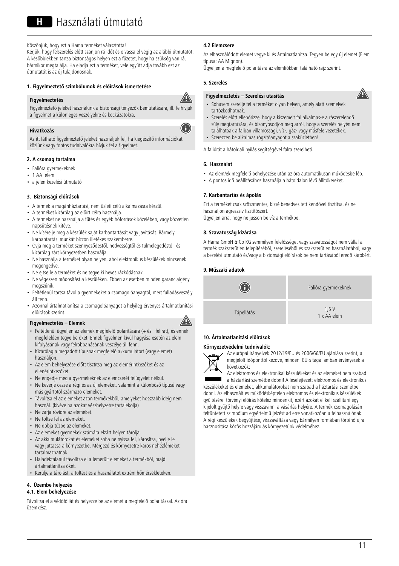Köszönjük, hogy ezt a Hama terméket választotta! Kérjük, hogy felszerelés előtt szánjon rá időt és olvassa el végig az alábbi útmutatót. A későbbiekben tartsa biztonságos helyen ezt a füzetet, hogy ha szükség van rá, bármikor megtalálja. Ha eladja ezt a terméket, vele együtt adja tovább ezt az útmutatót is az új tulajdonosnak.

## **1. Figyelmeztető szimbólumok és előírások ismertetése**

#### **Figyelmeztetés**



G

Figyelmeztető jeleket használunk a biztonsági tényezők bemutatására, ill. felhívjuk a figyelmet a különleges veszélyekre és kockázatokra.

## **Hivatkozás**

Az itt látható figyelmeztető jeleket használjuk fel, ha kiegészítő információkat közlünk vagy fontos tudnivalókra hívjuk fel a figyelmet.

## **2. A csomag tartalma**

- Falióra gyermekeknek
- 1 AA elem
- a jelen kezelési útmutató

## **3. Biztonsági előírások**

- A termék a magánháztartási, nem üzleti célú alkalmazásra készül.
- A terméket kizárólag az előírt célra használja.
- A terméket ne használja a fűtés és egyéb hőforrások közelében, vagy közvetlen napsütésnek kitéve.
- Ne kísérelje meg a készülék saját karbantartását vagy javítását. Bármely karbantartási munkát bízzon illetékes szakemberre.
- Óvja meg a terméket szennyeződéstől, nedvességtől és túlmelegedéstől, és kizárólag zárt környezetben használja.
- Ne használja a terméket olyan helyen, ahol elektronikus készülékek nincsenek megengedve.
- Ne ejtse le a terméket és ne tegye ki heves rázkódásnak.
- Ne végezzen módosítást a készüléken. Ebben az esetben minden garanciaigény megszűnik.
- Feltétlenül tartsa távol a gyermekeket a csomagolóanyagtól, mert fulladásveszély áll fenn.
- Azonnal ártalmatlanítsa a csomagolóanyagot a helyileg érvényes ártalmatlanítási előírások szerint.

## **Figyelmeztetés – Elemek**

- Feltétlenül ügyeljen az elemek megfelelő polaritására (+ és-felirat), és ennek megfelelően tegye be őket. Ennek figyelmen kívül hagyása esetén az elem kifolyásának vagy felrobbanásának veszélye áll fenn.
- Kizárólag a megadott típusnak megfelelő akkumulátort (vagy elemet) használjon.
- Az elem behelyezése előtt tisztítsa meg az elemérintkezőket és az ellenérintkezőket.
- Ne engedje meg a gyermekeknek az elemcserét felügyelet nélkül.
- Ne keverje össze a régi és az új elemeket, valamint a különböző típusú vagy más gyártótól származó elemeket.
- Távolítsa el az elemeket azon termékekből, amelyeket hosszabb ideig nem használ. (kivéve ha azokat vészhelyzetre tartalékolja)
- Ne zárja rövidre az elemeket.
- Ne töltse fel az elemeket.
- Ne dobja tűzbe az elemeket.
- Az elemeket gyermekek számára elzárt helyen tárolja.
- Az akkumulátorokat és elemeket soha ne nyissa fel, károsítsa, nyelje le vagy juttassa a környezetbe. Mérgező és környezetre káros nehézfémeket tartalmazhatnak.
- Haladéktalanul távolítsa el a lemerült elemeket a termékből, majd ártalmatlanítsa őket.
- Kerülje a tárolást, a töltést és a használatot extrém hőmérsékleteken.

## **4. Üzembe helyezés**

## **4.1. Elem behelyezése**

Távolítsa el a védőfóliát és helyezze be az elemet a megfelelő polaritással. Az óra üzemkész.

## **4.2 Elemcsere**

Az elhasználódott elemet vegye ki és ártalmatlanítsa. Tegyen be egy új elemet (Elem típusa: AA Mignon).

Ügyeljen a megfelelő polaritásra az elemfiókban található rajz szerint.

## **5. Szerelés**

## **Figyelmeztetés – Szerelési utasítás**



- Sohasem szerelje fel a terméket olyan helyen, amely alatt személyek tartózkodhatnak.
- Szerelés előtt ellenőrizze, hogy a kiszemelt fal alkalmas-e a rászerelendő súly megtartására, és bizonyosodjon meg arról, hogy a szerelés helyén nem találhatóak a falban villamossági, víz-, gáz- vagy másféle vezetékek.
- Szerezzen be alkalmas rögzítőanyagot a szaküzletben!

A faliórát a hátoldali nyílás segítségével falra szerelheti.

### **6. Használat**

- Az elem/ek megfelelő behelyezése után az óra automatikusan működésbe lép.
- A pontos idő beállításához használja a hátoldalon lévő állítókereket.

### **7. Karbantartás és ápolás**

Ezt a terméket csak szöszmentes, kissé benedvesített kendővel tisztítsa, és ne használjon agresszív tisztítószert. Ügyeljen arra, hogy ne jusson be víz a termékbe.

## **8. Szavatosság kizárása**

A Hama GmbH & Co KG semmilyen felelősséget vagy szavatosságot nem vállal a termék szakszerűtlen telepítéséből, szereléséből és szakszerűtlen használatából, vagy a kezelési útmutató és/vagy a biztonsági előírások be nem tartásából eredő károkért.

#### **9. Műszaki adatok**



## **10. Ártalmatlanítási előírások**

#### **Környezetvédelmi tudnivalók:**



A

Az európai irányelvek 2012/19/EU és 2006/66/EU ajánlása szerint, a megjelölt időponttól kezdve, minden EU-s tagállamban érvényesek a következők:

Az elektromos és elektronikai készülékeket és az elemeket nem szabad a háztartási szemétbe dobni! A leselejtezett elektromos és elektronikus

készülékeket és elemeket, akkumulátorokat nem szabad a háztartási szemétbe dobni. Az elhasznált és működésképtelen elektromos és elektronikus készülékek gyűjtésére törvényi előírás kötelez mindenkit, ezért azokat el kell szállítani egy kijelölt gyűjtő helyre vagy visszavinni a vásárlás helyére. A termék csomagolásán feltüntetett szimbólum egyértelmű jelzést ad erre vonatkozóan a felhasználónak. A régi készülékek begyűjtése, visszaváltása vagy bármilyen formában történő újra hasznosítása közös hozzájárulás környezetünk védelméhez.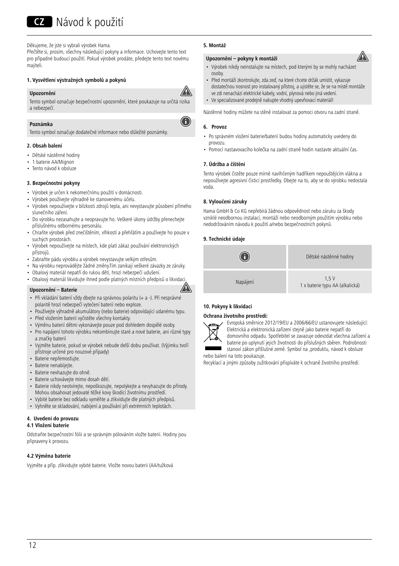## **CZ** Návod k použití

Děkujeme, že jste si vybrali výrobek Hama.

Přečtěte si, prosím, všechny následující pokyny a informace. Uchovejte tento text pro případné budoucí použití. Pokud výrobek prodáte, předejte tento text novému majiteli.

## **1. Vysvětlení výstražných symbolů a pokynů**

## **Upozornění**



6

A

Tento symbol označuje bezpečnostní upozornění, které poukazuje na určitá rizika a nebezpečí.

## **Poznámka**

Tento symbol označuje dodatečné informace nebo důležité poznámky.

## **2. Obsah balení**

- Dětské nástěnné hodiny
- 1 baterie AA/Mignon
- Tento návod k obsluze

## **3. Bezpečnostní pokyny**

- Výrobek je určen k nekomerčnímu použití v domácnosti.
- Výrobek používejte výhradně ke stanovenému účelu.
- Výrobek nepoužívejte v blízkosti zdrojů tepla, ani nevystavujte působení přímého slunečního záření.
- Do výrobku nezasahujte a neopravujte ho. Veškeré úkony údržby přenechejte příslušnému odbornému personálu.
- Chraňte výrobek před znečištěním, vlhkostí a přehřátím a používejte ho pouze v suchých prostorách.
- Výrobek nepoužívejte na místech, kde platí zákaz používání elektronických přístrojů.
- Zabraňte pádu výrobku a výrobek nevystavujte velkým otřesům.
- Na výrobku neprovádějte žádné změny.Tím zanikají veškeré závazky ze záruky.
- Obalový materiál nepatří do rukou dětí, hrozí nebezpečí udušení.
- Obalový materiál likvidujte ihned podle platných místních předpisů o likvidaci.

## **Upozornění – Baterie**

- Při vkládání baterií vždy dbejte na správnou polaritu (+ a -). Při nesprávné polaritě hrozí nebezpečí vytečení baterií nebo exploze.
- Používejte výhradně akumulátory (nebo baterie) odpovídající udanému typu.
- Před vložením baterií vyčistěte všechny kontakty.
- Výměnu baterií dětmi vykonávejte pouze pod dohledem dospělé osoby.
- Pro napájení tohoto výrobku nekombinujte staré a nové baterie, ani různé typy a značky baterií
- Vyjměte baterie, pokud se výrobek nebude delší dobu používat. (Výjimku tvoří přístroje určené pro nouzové případy)
- Baterie nepřemosťujte.
- Baterie nenabíjejte.
- Baterie nevhazujte do ohně.
- Baterie uchovávejte mimo dosah dětí.
- Baterie nikdy neotvírejte, nepoškozujte, nepolykejte a nevyhazujte do přírody. Mohou obsahovat jedovaté těžké kovy škodící životnímu prostředí.
- Vybité baterie bez odkladu vyměňte a zlikvidujte dle platných předpisů.
- Vyhněte se skladování, nabíjení a používání při extrémních teplotách.

#### **4. Uvedení do provozu 4.1 Vložení baterie**

Odstraňte bezpečnostní fólii a se správným pólováním vložte baterii. Hodiny jsou připraveny k provozu.

## **4.2 Výměna baterie**

Vyjměte a příp. zlikvidujte vybité baterie. Vložte novou baterii (AA/tužková

## **5. Montáž**

## **Upozornění – pokyny k montáži**

- Výrobek nikdy neinstalujte na místech, pod kterými by se mohly nacházet osoby.
- Před montáží zkontrolujte, zda zeď, na které chcete držák umístit, vykazuje dostatečnou nosnost pro instalovaný přístroj, a ujistěte se, že se na místě montáže ve zdi nenachází elektrické kabely, vodní, plynová nebo jiná vedení.
- Ve specializované prodejně nakupte vhodný upevňovací materiál!

Nástěnné hodiny můžete na stěně instalovat za pomoci otvoru na zadní straně.

## **6. Provoz**

- Po správném vložení baterie/baterií budou hodiny automaticky uvedeny do provozu.
- Pomocí nastavovacího kolečka na zadní straně hodin nastavte aktuální čas.

## **7. Údržba a čištění**

Tento výrobek čistěte pouze mírně navlhčeným hadříkem nepouštějícím vlákna a nepoužívejte agresivní čisticí prostředky. Dbejte na to, aby se do výrobku nedostala voda.

## **8. Vyloučení záruky**

Hama GmbH & Co KG nepřebírá žádnou odpovědnost nebo záruku za škody vzniklé neodbornou instalací, montáží nebo neodborným použitím výrobku nebo nedodržováním návodu k použití a/nebo bezpečnostních pokynů.

## **9. Technické údaje**

## G Dětské nástěnné hodiny Napájení 1,5 <sup>V</sup> 1xbaterie typu AA (alkalická)

## **10. Pokyny k likvidaci**

## **Ochrana životního prostředí:**



Evropská směrnice 2012/19/EU a 2006/66/EU ustanovujete následující: Elektrická a elektronická zařízení stejně jako baterie nepatří do domovního odpadu. Spotřebitel se zavazuje odevzdat všechna zařízení a

baterie po uplynutí jejich životnosti do příslušných sběren. Podrobnosti stanoví zákon příšlušné země. Symbol na ,produktu, návod k obsluze nebo balení na toto poukazuje.

Recyklací a jinými způsoby zužitkování přispíváte k ochraně životního prostředí.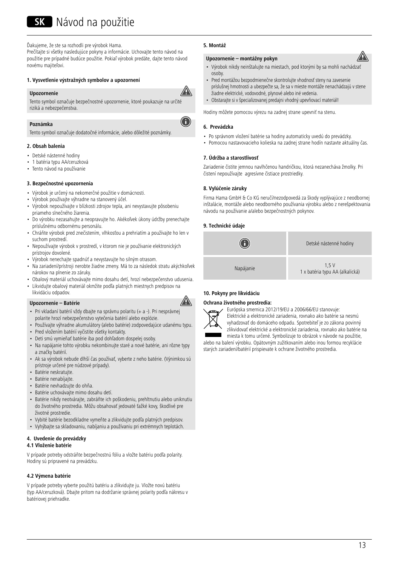## SK Návod na použitie

Ďakujeme, že ste sa rozhodli pre výrobok Hama.

Prečítajte si všetky nasledujúce pokyny a informácie. Uchovajte tento návod na použitie pre prípadné budúce použitie. Pokiaľ výrobok predáte, dajte tento návod novému majiteľovi.

## **1. Vysvetlenie výstražných symbolov a upozornení**

#### **Upozornenie**



⋒

Tento symbol označuje bezpečnostné upozornenie, ktoré poukazuje na určité riziká a nebezpečenstva.

#### **Poznámka**

Tento symbol označuje dodatočné informácie, alebo dôležité poznámky.

### **2. Obsah balenia**

- Detské nástenné hodiny
- 1 batéria typu AA/ceruzková
- Tento návod na používanie

## **3. Bezpečnostné upozornenia**

- Výrobok je určený na nekomerčné použitie v domácnosti.
- Výrobok používajte výhradne na stanovený účel.
- Výrobok nepoužívajte v blízkosti zdrojov tepla, ani nevystavujte pôsobeniu priameho slnečného žiarenia.
- Do výrobku nezasahujte a neopravujte ho. Akékoľvek úkony údržby prenechajte príslušnému odbornému personálu.
- Chráňte výrobok pred znečistením, vlhkosťou a prehriatím a používajte ho len v suchom prostredí.
- Nepoužívajte výrobok v prostredí, v ktorom nie je používanie elektronických prístrojov dovolené.
- Výrobok nenechajte spadnúť a nevystavujte ho silným otrasom.
- Na zariadení/prístroji nerobte žiadne zmeny. Má to za následok stratu akýchkoľvek nárokov na plnenie zo záruky.
- Obalový materiál uchovávajte mimo dosahu detí, hrozí nebezpečenstvo udusenia.
- Likvidujte obalový materiál okmžite podľa platných miestnych predpisov na likvidáciu odpadov.

#### **Upozornenie – Batérie**

- Pri vkladaní batérií vždy dbajte na správnu polaritu (+ a -). Pri nesprávnej polarite hrozí nebezpečenstvo vytečenia batérií alebo explózie.
- Používajte výhradne akumulátory (alebo batérie) zodpovedajúce udanému typu. • Pred vložením batérií vyčistite všetky kontakty.
- Deti smú vymieňať batérie iba pod dohľadom dospelej osoby.
- Na napájanie tohto výrobku nekombinujte staré a nové batérie, ani rôzne typy a značky batérií.
- Ak sa výrobok nebude dlhší čas používať, vyberte z neho batérie. (Výnimkou sú prístroje určené pre núdzové prípady).
- Batérie neskratujte.
- Batérie nenabíjajte.
- Batérie nevhadzujte do ohňa.
- Batérie uchovávajte mimo dosahu detí.
- Batérie nikdy neotvárajte, zabráňte ich poškodeniu, prehltnutiu alebo uniknutiu do životného prostredia. Môžu obsahovať jedovaté ťažké kovy, škodlivé pre životné prostredie.
- Vybité batérie bezodkladne vymeňte a zlikvidujte podľa platných predpisov.
- Vyhýbajte sa skladovaniu, nabíjaniu a používaniu pri extrémnych teplotách.

## **4. Uvedenie do prevádzky**

## **4.1 Vloženie batérie**

V prípade potreby odstráňte bezpečnostnú fóliu a vložte batériu podľa polarity. Hodiny sú pripravené na prevádzku.

#### **4.2 Výmena batérie**

V prípade potreby vyberte použitú batériu a zlikvidujte ju. Vložte novú batériu (typ AA/ceruzková). Dbajte pritom na dodržanie správnej polarity podľa nákresu v batériovej priehradke.

## **5. Montáž**

#### **Upozornenie – montážny pokyn**

- Výrobok nikdy neinštaluite na miestach, pod ktorými by sa mohli nachádzať osoby.
- Pred montážou bezpodmienečne skontrolujte vhodnosť steny na zavesenie príslušnej hmotnosti a ubezpečte sa, že sa v mieste montáže nenachádzajú v stene žiadne elektrické, vodovodné, plynové alebo iné vedenia.
- Obstarajte si v špecializovanej predajni vhodný upevňovací materiál!

Hodiny môžete pomocou výrezu na zadnej strane upevniť na stenu.

## **6. Prevádzka**

- Po správnom vložení batérie sa hodiny automaticky uvedú do prevádzky.
- Pomocou nastavovacieho kolieska na zadnej strane hodín nastavte aktuálny čas.

## **7. Údržba a starostlivosť**

Zariadenie čistite jemnou navlhčenou handričkou, ktorá nezanecháva žmolky. Pri čistení nepoužívajte agresívne čistiace prostriedky.

## **8. Vylúčenie záruky**

Firma Hama GmbH & Co KG neručí/nezodpovedá za škody vyplývajúce z neodbornej inštalácie, montáže alebo neodborného používania výrobku alebo z nerešpektovania návodu na používanie a/alebo bezpečnostných pokynov.

## **9. Technické údaje**



## **10. Pokyny pre likvidáciu**

## **Ochrana životného prostredia:**



A

Európska smernica 2012/19/EU a 2006/66/EU stanovuje: Elektrické a elektronické zariadenia, rovnako ako batérie sa nesmú vyhadzovať do domáceho odpadu. Spotrebiteľ je zo zákona povinný zlikvidovať elektrické a elektronické zariadenia, rovnako ako batérie na

miesta k tomu určené. Symbolizuje to obrázok v návode na použitie, alebo na balení výrobku. Opätovným zužitkovaním alebo inou formou recyklácie

starých zariadení/batérií prispievate k ochrane životného prostredia.

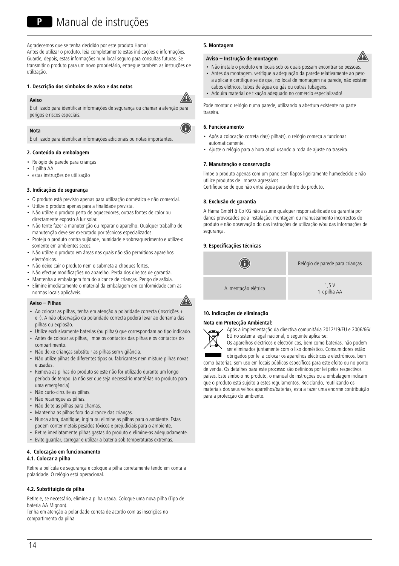Agradecemos que se tenha decidido por este produto Hama! Antes de utilizar o produto, leia completamente estas indicações e informações. Guarde, depois, estas informações num local seguro para consultas futuras. Se transmitir o produto para um novo proprietário, entregue também as instruções de utilização.

## **1. Descrição dos símbolos de aviso e das notas**



A

É utilizado para identificar informações de segurança ou chamar a atenção para perigos e riscos especiais.

## **Nota**

**Aviso**

É utilizado para identificar informações adicionais ou notas importantes.

## **2. Conteúdo da embalagem**

- Relógio de parede para crianças
- 1 pilha AA
- estas instruções de utilização

#### **3. Indicações de segurança**

- O produto está previsto apenas para utilização doméstica e não comercial.
- Utilize o produto apenas para a finalidade prevista. • Não utilize o produto perto de aquecedores, outras fontes de calor ou
- directamente exposto à luz solar. • Não tente fazer a manutenção ou reparar o aparelho. Qualquer trabalho de
- manutenção deve ser executado por técnicos especializados.
- Proteja o produto contra sujidade, humidade e sobreaquecimento e utilize-o somente em ambientes secos.
- Não utilize o produto em áreas nas quais não são permitidos aparelhos electrónicos.
- Não deixe cair o produto nem o submeta a choques fortes.
- Não efectue modificações no aparelho. Perda dos direitos de garantia.
- Mantenha a embalagem fora do alcance de crianças. Perigo de asfixia.
- Elimine imediatamente o material da embalagem em conformidade com as normas locais aplicáveis.

#### **Aviso – Pilhas**

- Ao colocar as pilhas, tenha em atenção a polaridade correcta (inscrições + e -). A não observação da polaridade correcta poderá levar ao derrama das pilhas ou explosão.
- Utilize exclusivamente baterias (ou pilhas) que correspondam ao tipo indicado.
- Antes de colocar as pilhas, limpe os contactos das pilhas e os contactos do compartimento.
- Não deixe crianças substituir as pilhas sem vigilância.
- Não utilize pilhas de diferentes tipos ou fabricantes nem misture pilhas novas e usadas.
- Remova as pilhas do produto se este não for utilizado durante um longo período de tempo. (a não ser que seja necessário mantê-las no produto para uma emergência).
- Não curto-circuite as pilhas.
- Não recarregue as pilhas.
- Não deite as pilhas para chamas.
- Mantenha as pilhas fora do alcance das crianças.
- Nunca abra, danifique, ingira ou elimine as pilhas para o ambiente. Estas podem conter metais pesados tóxicos e prejudiciais para o ambiente.
- Retire imediatamente pilhas gastas do produto e elimine-as adequadamente.
- Evite guardar, carregar e utilizar a bateria sob temperaturas extremas.

## **4. Colocação em funcionamento**

## **4.1. Colocar a pilha**

Retire a película de segurança e coloque a pilha corretamente tendo em conta a polaridade. O relógio está operacional.

## **4.2. Substituição da pilha**

Retire e, se necessário, elimine a pilha usada. Coloque uma nova pilha (Tipo de bateria AA Mignon).

Tenha em atenção a polaridade correta de acordo com as inscrições no compartimento da pilha

## **5. Montagem**

## **Aviso – Instrução de montagem**

- Não instale o produto em locais sob os quais possam encontrar-se pessoas.
- Antes da montagem, verifique a adequação da parede relativamente ao peso a aplicar e certifique-se de que, no local de montagem na parede, não existem cabos elétricos, tubos de água ou gás ou outras tubagens.
- Adquira material de fixação adequado no comércio especializado!

Pode montar o relógio numa parede, utilizando a abertura existente na parte traseira.

## **6. Funcionamento**

- Após a colocação correta da(s) pilha(s), o relógio começa a funcionar automaticamente.
- Ajuste o relógio para a hora atual usando a roda de ajuste na traseira.

## **7. Manutenção e conservação**

limpe o produto apenas com um pano sem fiapos ligeiramente humedecido e não utilize produtos de limpeza agressivos.

Certifique-se de que não entra água para dentro do produto.

## **8. Exclusão de garantia**

A Hama GmbH & Co KG não assume qualquer responsabilidade ou garantia por danos provocados pela instalação, montagem ou manuseamento incorrectos do produto e não observação do das instruções de utilização e/ou das informações de segurança.

## **9. Especificações técnicas**



## **10. Indicações de eliminação**

## **Nota em Protecção Ambiental:**



A

Após a implementação da directiva comunitária 2012/19/EU e 2006/66/ EU no sistema legal nacional, o seguinte aplica-se:

Os aparelhos eléctricos e electrónicos, bem como baterias, não podem ser eliminados juntamente com o lixo doméstico. Consumidores estão obrigados por lei a colocar os aparelhos eléctricos e electrónicos, bem

como baterias, sem uso em locais públicos específicos para este efeito ou no ponto de venda. Os detalhes para este processo são definidos por lei pelos respectivos

países. Este símbolo no produto, o manual de instruções ou a embalagem indicam que o produto está sujeito a estes regulamentos. Reciclando, reutilizando os materiais dos seus velhos aparelhos/baterias, esta a fazer uma enorme contribuição para a protecção do ambiente.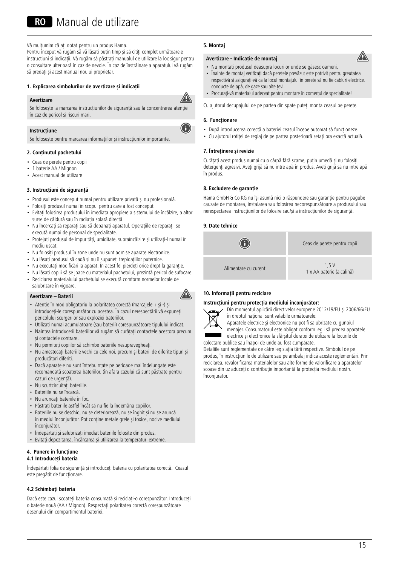Vă multumim că ați optat pentru un produs Hama. Pentru început vă rugăm să vă lăsați puțin timp și să citiți complet următoarele instrucțiuni și indicații. Vă rugăm să păstrați manualul de utilizare la loc sigur pentru o consultare ulterioară în caz de nevoie. În caz de înstrăinareaaparatului vă rugăm să predați și acest manual noului proprietar.

## **1. Explicarea simbolurilor de avertizare și indicații**

#### **Avertizare**



A

Se folosește la marcarea instrucțiunilor de siguranță sau la concentrarea atenției în caz de pericol și riscuri mari.

## **Instrucțiune**

Se folosește pentru marcarea informațiilor și instrucțiunilor importante.

## **2. Conținutul pachetului**

- Ceas de perete pentru copii
- 1 baterie AA / Mignon
- Acest manual de utilizare

#### **3. Instrucțiuni de siguranță**

- Produsul este conceput numai pentru utilizare privată și nu profesională.
- Folositi produsul numai în scopul pentru care a fost conceput.
- Evitati folosirea produsului în imediata apropiere a sistemului de încălzire, a altor surse de căldură sau în radiația solară directă.
- Nu încercați să reparați sau să depanați aparațul. Operațiile de reparații se execută numai de personal de specialitate.
- Protejați produsul de impurități, umiditate, supraîncălzire și utilizați-l numai în mediu uscat.
- Nu folositi produsul în zone unde nu sunt admise aparate electronice.
- Nu lăsați produsul să cadă și nu îl supuneți trepidațiilor puternice.
- Nu executaţi modificări la aparat. În acest fel pierdeţi orice drept la garanţie.
- Nu lăsați copiii să se joace cu materialul pachetului, prezintă pericol de sufocare.
- Reciclarea materialului pachetului se execută comform normelor locale de
- salubrizare în vigoare.

## **Avertizare–Baterii**



- Atentie în mod obligatoriu la polaritatea corectă (marcajele + și -) și introduceți-le corespunzător cu acestea. În cazul nerespectării vă expuneți
- pericolului scurgerilor sau exploziei bateriilor.
- Utilizaţi numai acumulatoare (sau baterii) corespunzătoare tipulului indicat.
- Naintea introducerii bateriilor vă rugăm să curățați contactele acestora precum și contactele contrare.
- Nu permiteți copiilor să schimbe bateriile nesupravegheați.
- Nu amestecați bateriile vechi cu cele noi, precum și baterii de diferite tipuri și producători diferiți.
- Dacă aparatele nu sunt întrebuințate pe perioade mai îndelungate este recomandată scoaterea bateriilor. (în afara cazului că sunt păstrate pentru cazuri de urgență).
- Nu scurtcircuitați bateriile.
- Bateriile nu se încarcă.
- Nu aruncați bateriile în foc.
- Păstraţi bateriile astfel încât să nu fie la îndemâna copiilor.
- Bateriile nu se deschid, nu se deteriorează, nu se înghit și nu se aruncă în mediul înconjurător. Pot conține metale grele și toxice, nocive mediului înconjurător.
- Îndepărtați și salubrizați imediat bateriile folosite din produs.
- Evitați depozitarea, încărcarea și utilizarea la temperaturi extreme.

#### **4. Punere în funcțiune 4.1 Introduceți bateria**

Îndepărtați folia de siguranță și introduceți bateria cu polaritatea corectă. Ceasul este pregătit de funcționare.

## **4.2 Schimbați bateria**

Dacă este cazul scoateți bateria consumată și reciclați-o corespunzător. Introduceți o baterie nouă (AA / Mignon). Respectați polaritatea corectă corespunzătoare desenului din compartimentul bateriei.

## **5. Montaj**

## **Avertizare-Indicație de montaj**

- Nu montați produsul deasupra locurilor unde se găsesc oameni.
- Înainte de montaj verificați dacă peretele prevăzut este potrivit pentru greutatea respectivă și asigurați-vă ca la locul montajului în perete să nu fie cabluri electrice, conducte de apă, de gaze sau alte țevi.
- Procurați-vă materialul adecvat pentru montare în comerțul de specialitate!

Cu ajutorul decupajului de pe partea din spate puteți monta ceasul pe perete.

## **6. Funcționare**

- După introducerea corectă a bateriei ceasul începe automat să funcționeze.
- Cu ajutorul rotiței de reglaj de pe partea posterioară setați ora exactă actuală.

#### **7. Întreţinere şi revizie**

Curățați acest produs numai cu o cârpă fără scame, puțin umedă și nu folosiți detergenți agresivi. Aveți grijă să nu intre apă în produs. Aveți grijă să nu intre apă în produs.

#### **8. Excludere de garanție**

Hama GmbH & Co KG nu îşi asumă nici o răspundere sau garanție pentru pagube cauzate de montarea, instalarea sau folosirea necorespunzătoare a produsului sau nerespectarea instrucțiunilor de folosire sau/și a instrucțiunilor de siguranță.

## **9. Date tehnice**



## **10. Informații pentru reciclare**

#### **Instrucţiuni pentru protecţia mediului înconjurător:**



Din momentul aplicării directivelor europene 2012/19/EU şi 2006/66/EU în dreptul național sunt valabile următoarele:

Aparatele electrice şi electronice nu pot fi salubrizate cu gunoiul menajer. Consumatorul este obligat conform legii să predea aparatele electrice și electronice la sfârșitul duratei de utilizare la locurile de colectare publice sau înapoi de unde au fost cumpărate.

Detaliile sunt reglementate de către legislația țării respective. Simbolul de pe produs, în instrucțiunile de utilizare sau pe ambalaj indică aceste reglementări. Prin reciclarea, revalorificarea materialelor sau alte forme de valorificare a aparatelor scoase din uz aduceți o contribuție importantă la protecția mediului nostru înconjurător.

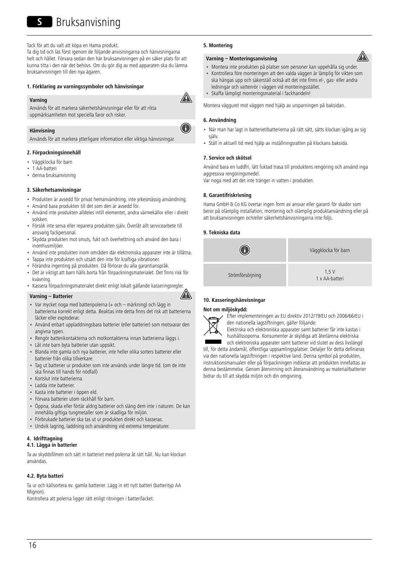Tack för att du valt att köpa en Hama produkt. Ta dig tid och läs först igenom de följande anvisningarna och hänvisningarna helt och hållet. Förvara sedan den här bruksanvisningen på en säker plats för att kunna titta i den när det behövs. Om du gör dig av med apparaten ska du lämna bruksanvisningen till den nya ägaren.

#### **1. Förklaring av varningssymboler och hänvisningar**

#### **Varning**

Används för att markera säkerhetshänvisningar eller för att rikta uppmärksamheten mot speciella faror och risker.

## **Hänvisning**

Används för att markera ytterligare information eller viktiga hänvisningar.

#### **2. Förpackningsinnehåll**

- Väggklocka för barn
- 1 AA-batteri
- denna bruksanvisning

#### **3. Säkerhetsanvisningar**

- Produkten är avsedd för privat hemanvändning, inte yrkesmässig användning.
- Använd bara produkten till det som den är avsedd för.
- Använd inte produkten alldeles intill elementet, andra värmekällor eller i direkt solsken.
- Försök inte serva eller reparera produkten själv. Överlåt allt servicearbete till ansvarig fackpersonal.
- Skydda produkten mot smuts, fukt och överhettning och använd den bara i inomhusmiljöer.
- Använd inte produkten inom områden där elektroniska apparater inte är tillåtna.
- Tappa inte produkten och utsätt den inte för kraftiga vibrationer.
- Förändra ingenting på produkten. Då förlorar du alla garantianspråk.
- Det är viktigt att barn hålls borta från förpackningsmaterialet. Det finns risk för kvävning.
- Kassera förpackningsmaterialet direkt enligt lokalt gällande kasseringsregler.

## **Varning – Batterier**



- Var mycket noga med batteripolerna (+ och märkning) och lägg in batterierna korrekt enligt detta. Beaktas inte detta finns det risk att batterierna läcker eller exploderar.
- Använd enbart uppladdningsbara batterier (eller batterier) som motsvarar den angivna typen.
- Rengör batterikontakterna och motkontakterna innan batterierna läggs i.
- Låt inte barn byta batterier utan uppsikt.
- Blanda inte gamla och nya batterier, inte heller olika sorters batterier eller batterier från olika tillverkare.
- Tag ut batterier ur produkter som inte används under längre tid. (om de inte ska finnas till hands för nödfall)
- Kortslut inte batterierna.
- Ladda inte batterier.
- Kasta inte batterier i öppen eld.
- Förvara batterier utom räckhåll för barn.
- Öppna, skada eller förtär aldrig batterier och släng dem inte i naturen. De kan innehålla giftiga tungmetaller som är skadliga för miljön.
- Förbrukade batterier ska tas ut ur produkten direkt och kasseras.
- Undvik lagring, laddning och användning vid extrema temperaturer.

#### **4. Idrifttagning**

## **4.1. Lägga in batterier**

Ta av skyddsfilmen och sätt in batteriet med polerna åt rätt håll. Nu kan klockan användas.

## **4.2. Byta batteri**

Ta ur och källsortera ev. gamla batterier. Lägg in ett nytt batteri (batterityp AA Mignon).

Kontrollera att polerna ligger rätt enligt ritningen i batterifacket.

## **5. Montering**

## **Varning – Monteringsanvisning**

- Montera inte produkten på platser som personer kan uppehålla sig under
- Kontrollera före monteringen att den valda väggen är lämplig för vikten som ska hängas upp och säkerställ också att det inte finns el-, gas- eller andra ledningar och vattenrör i väggen vid monteringsstället.
- Skaffa lämpligt monteringsmaterial i fackhandeln!

Montera vägguret mot väggen med hjälp av ursparningen på baksidan.

## **6. Användning**

⚠

- När man har lagt in batteriet/batterierna på rätt sätt, sätts klockan igång av sig själv.
- Ställ in aktuell tid med hjälp av inställningsratten på klockans baksida.

#### **7. Service och skötsel**

Använd bara en luddfri, lätt fuktad trasa till produktens rengöring och använd inga aggressiva rengöringsmedel.

Var noga med att det inte tränger in vatten i produkten.

## **8. Garantifriskrivning**

Hama GmbH & Co KG övertar ingen form av ansvar eller garanti för skador som beror på olämplig installation, montering och olämplig produktanvändning eller på att bruksanvisningen och/eller säkerhetshänvisningarna inte följs.

#### **9. Tekniska data**



## **10. Kasseringshänvisningar**

#### **Not om miljöskydd:**



Efter implementeringen av EU direktiv 2012/19/EU och 2006/66/EU i den nationella lagstiftningen, gäller följande:

Elektriska och elektroniska apparater samt batterier får inte kastas i hushållssoporna. Konsumenter är skyldiga att återlämna elektriska och elektroniska apparater samt batterier vid slutet av dess livslängd

till, för detta ändamål, offentliga uppsamlingsplatser. Detaljer för detta definieras via den nationella lagstiftningen i respektive land. Denna symbol på produkten, instruktionsmanualen eller på förpackningen indikerar att produkten innefattas av denna bestämmelse. Genom återvinning och återanvändning av material/batterier bidrar du till att skydda miljön och din omgivning.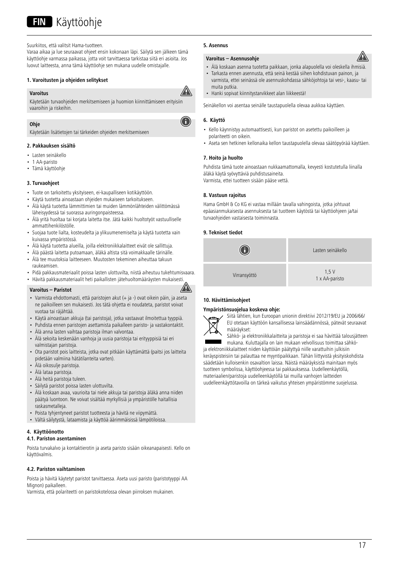## **FIN** Käyttöohje

#### Suurkiitos, että valitsit Hama-tuotteen.

Varaa aikaa ja lue seuraavat ohjeet ensin kokonaan läpi. Säilytä sen jälkeen tämä käyttöohje varmassa paikassa, jotta voit tarvittaessa tarkistaa siitä eri asioita. Jos luovut laitteesta, anna tämä käyttöohje sen mukana uudelle omistajalle.

#### **1. Varoitusten ja ohjeiden selitykset**

## **Varoitus**



A

Käytetään turvaohjeiden merkitsemiseen ja huomion kiinnittämiseen erityisiin vaaroihin ja riskeihin.

### **Ohje**

Käytetään lisätietojen tai tärkeiden ohjeiden merkitsemiseen

#### **2. Pakkauksen sisältö**

- Lasten seinäkello
- 1 AA-paristo
- Tämä käyttöohje

## **3. Turvaohjeet**

- Tuote on tarkoitettu yksityiseen, ei-kaupalliseen kotikäyttöön.
- Käytä tuotetta ainoastaan ohjeiden mukaiseen tarkoitukseen.
- Älä käytä tuotetta lämmittimien tai muiden lämmönlähteiden välittömässä läheisyydessä tai suorassa auringonpaisteessa.
- Älä yritä huoltaa tai korjata laitetta itse. Jätä kaikki huoltotyöt vastuulliselle ammattihenkilöstölle.
- Suojaa tuote lialta, kosteudelta ja ylikuumenemiselta ja käytä tuotetta vain kuivassa ympäristössä.
- Älä käytä tuotetta alueilla, joilla elektroniikkalaitteet eivät ole sallittuja.
- Älä päästä laitetta putoamaan, äläkä altista sitä voimakkaalle tärinälle.
- Älä tee muutoksia laitteeseen. Muutosten tekeminen aiheuttaa takuun raukeamisen.
- Pidä pakkausmateriaalit poissa lasten ulottuvilta, niistä aiheutuu tukehtumisvaara.
- Hävitä pakkausmateriaalit heti paikallisten jätehuoltomääräysten mukaisesti.

## **Varoitus – Paristot**

- Varmista ehdottomasti, että paristojen akut (+ ja -) ovat oikein päin, ja aseta ne paikoilleen sen mukaisesti. Jos tätä ohjetta ei noudateta, paristot voivat vuotaa tai räjähtää.
- Käytä ainoastaan akkuja (tai paristoja), jotka vastaavat ilmoitettua tyyppiä.
- Puhdista ennen paristojen asettamista paikalleen paristo- ja vastakontaktit.
- Älä anna lasten vaihtaa paristoja ilman valvontaa.
- Älä sekoita keskenään vanhoja ja uusia paristoja tai erityyppisiä tai eri valmistajan paristoja.
- Ota paristot pois laitteista, jotka ovat pitkään käyttämättä (paitsi jos laitteita pidetään valmiina hätätilanteita varten).
- Älä oikosulje paristoja.
- Älä lataa paristoja.
- Älä heitä paristoja tuleen.
- Säilytä paristot poissa lasten ulottuvilta.
- Älä koskaan avaa, vaurioita tai niele akkuja tai paristoja äläkä anna niiden päätyä luontoon. Ne voivat sisältää myrkyllisiä ja ympäristölle haitallisia raskasmetalleja.
- Poista tyhjentyneet paristot tuotteesta ja hävitä ne viipymättä.
- Vältä säilytystä, lataamista ja käyttöä äärimmäisissä lämpötiloissa.

## **4. Käyttöönotto**

#### **4.1. Pariston asentaminen**

Poista turvakalvo ja kontaktierotin ja aseta paristo sisään oikeanapaisesti. Kello on käyttövalmis.

#### **4.2. Pariston vaihtaminen**

Poista ja hävitä käytetyt paristot tarvittaessa. Aseta uusi paristo (paristotyyppi AA Mignon) paikalleen.

Varmista, että polariteetti on paristokotelossa olevan piirroksen mukainen.

#### **5. Asennus**

## **Varoitus – Asennusohje**

- Älä koskaan asenna tuotetta paikkaan, jonka alapuolella voi oleskella ihmisiä.
- Tarkasta ennen asennusta, että seinä kestää siihen kohdistuvan painon, ja varmista, ettei seinässä ole asennuskohdassa sähköjohtoja tai vesi-, kaasu- tai muita putkia.
- Hanki sopivat kiinnitystarvikkeet alan liikkeestä!

Seinäkellon voi asentaa seinälle taustapuolella olevaa aukkoa käyttäen.

#### **6. Käyttö**

- Kello käynnistyy automaattisesti, kun paristot on asetettu paikoilleen ja polariteetti on oikein.
- Aseta sen hetkinen kellonaika kellon taustapuolella olevaa säätöpyörää käyttäen.

#### **7. Hoito ja huolto**

Puhdista tämä tuote ainoastaan nukkaamattomalla, kevyesti kostutetulla liinalla äläkä käytä syövyttäviä puhdistusaineita. Varmista, ettei tuotteen sisään pääse vettä.

#### **8. Vastuun rajoitus**

Hama GmbH & Co KG ei vastaa millään tavalla vahingoista, jotka johtuvat epäasianmukaisesta asennuksesta tai tuotteen käytöstä tai käyttöohjeen ja/tai turvaohjeiden vastaisesta toiminnasta.

## **9. Tekniset tiedot**



## **10. Hävittämisohjeet**

#### **Ympäristönsuojelua koskeva ohje:**



A

Siitä lähtien, kun Euroopan unionin direktiivi 2012/19/EU ja 2006/66/ EU otetaan käyttöön kansallisessa lainsäädännössä, pätevät seuraavat määräykset:

Sähkö- ja elektroniikkalaitteita ja paristoja ei saa hävittää talousjätteen mukana. Kuluttajalla on lain mukaan velvollisuus toimittaa sähkö-

ja elektroniikkalaitteet niiden käyttöiän päätyttyä niille varattuihin julkisiin keräyspisteisiin tai palauttaa ne myyntipaikkaan. Tähän liittyvistä yksityiskohdista säädetään kulloisenkin osavaltion laissa. Näistä määräyksistä mainitaan myös tuotteen symbolissa, käyttöohjeessa tai pakkauksessa. Uudelleenkäytöllä, materiaalien/paristoja uudelleenkäytöllä tai muilla vanhojen laitteiden uudelleenkäyttötavoilla on tärkeä vaikutus yhteisen ympäristömme suojelussa.

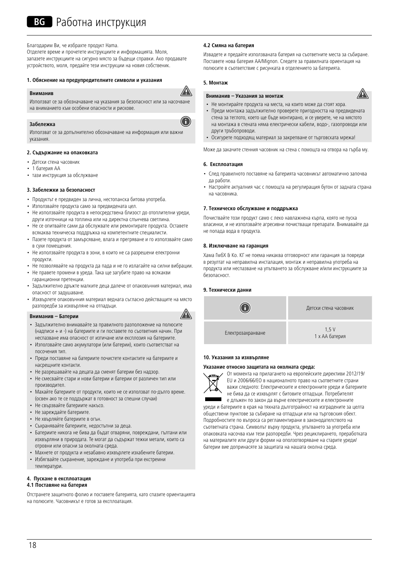Благодарим Ви, че избрахте продукт Hama.

Отделете време и прочетете инструкциите и информацията. Моля, запазете инструкциите на сигурно място за бъдещи справки. Ако продавате устройството, моля, предайте тези инструкции на новия собственик.

## **1. Обяснение на предупредителните символи и указания**

#### **Вниманив**

Използват се за обозначаване на указания за безопасност или за насочване на вниманието към особени опасности и рискове.

#### **Забележка**

Използват се за допълнително обозначаване на информация или важни указания.

## **2. Съдържание на опаковката**

- Детски стена часовник
- 1 батерия АА
- тази инструкция за обслужване

#### **3. Забележки за безопасност**

- Продуктът е предвиден за лична, нестопанска битова употреба.
- Използвайте продукта само за предвидената цел.
- Не използвайте продукта в непосредствена близост до отоплителни уреди, други източници на топлина или на директна слънчева светлина.
- Не се опитвайте сами да обслужвате или ремонтирате продукта. Оставете всякаква техническа поддръжка на компетентните специалисти.
- Пазете продукта от замърсяване, влага и прегряване и го използвайте само в сухи помещения.
- Не използвайте продуктавзони, в които не са разрешени електронни продукти.
- Не позволявайте на продукта да пада и не го излагайте на силни вибрации.
- Не правете промени в уреда. Така ще загубите право на всякакви гаранционни претенции.
- Задължително дръжте малките деца далече от опаковъчния материал, има опасност от задушаване.
- Изхвърлете опаковъчния материал веднага съгласно действащите на място разпоредби за изхвърляне на отпадъци.

#### **Вниманив – Батерии**

- Задължително внимавайте за правилното разположение на полюсите (надписи + и -) на батериите и ги поставете по съответния начин. При неспазване има опасност от изтичане или експлозия на батериите.
- Използвайте само акумулатори (или батерии), които съответстват на посочения тип.
- Преди поставяне на батериите почистете контактите на батериите и насрещните контакти.
- Не разрешавайте на децата да сменят батерии без надзор.
- Не смесвайте стари и нови батерии и батерии от различен тип или производител.
- Махайте батериите от продукти, които не се използват по-дълго време. (освен ако те се поддържат в готовност за спешни случаи)
- Не свързвайте батериите накъсо.
- Не зареждайте батериите.
- Не хвърляйте батериите в огън.
- Съхранявайте батериите, недостъпни за деца.
- Батериите никога не бива да бъдат отваряни, повреждани, гълтани или изхвърляни в природата. Те могат да съдържат тежки метали, които са отровни или опасни за околната среда.
- Махнете от продукта и незабавно изхвърлете изхабените батерии.
- Избягвайте съхранение, зареждане и употреба при екстремни температури.

## **4. Пускане в експлоатация**

## **4.1 Поставяне на батерия**

Отстранете защитното фолио и поставете батерията, като спазите ориентацията на полюсите. Часовникътеготов за експлоатация.

## **4.2 Смяна на батерия**

Извадете и предайте използваната батерия на съответните места за събиране. Поставете нова батерия AA/Mignon. Следете за правилната ориентация на полюсите в съответствие с рисунката в отделението за батерията.

#### **5. Монтаж**

⚠

0

 $\mathbb{A}$ 

## **Вниманив – Указания за монтаж**



- Не монтирайте продукта на места, на които може да стоят хора.
- Преди монтажа задължително проверете пригодността на предвидената стена за теглото, което ще бъде монтирано, и се уверете, че на мястото на монтажа в стената няма електрически кабели, водо-, газопроводи или други тръбопроводи.
- Осигурете подходящ материал за закрепване от търговската мрежа!

Може да закачите стенния часовник на стена с помощта на отвора на гърба му.

## **6. Експлоатация**

- След правилното поставяне на батерията часовникът автоматично започва да работи.
- Настройте актуалния час с помощта на регулиращия бутон от задната страна на часовника.

### **7. Техническо обслужване и поддръжка**

Почиствайте този продукт само с леко навлажнена кърпа, която не пуска власинки, и не използвайте агресивни почистващи препарати. Внимавайте да не попада вода в продукта.

## **8. Изключване на гаранция**

Хама ГмбХ & Ко. КГ не поема никаква отговорност или гаранция за повреди в резултат на неправилна инсталация, монтаж и неправилна употреба на продукта или неспазване на упътването за обслужване и/или инструкциите за безопасност.

## **9. Технически данни**



## **10. Указания за изхвърляне**

#### **Указание относно защитата на околната среда:**



От момента на прилагането на европейските директиви 2012/19/ EU и 2006/66/EОвнационалното право на съответните страни важи следното: Електрическите и електронните уреди и батериите не бива да се изхвърлят с битовите отпадъци. Потребителят е длъжен по закон да върне електрическите и електронните

уреди и батериите в края на тяхната дълготрайност на изградените за целта обществени пунктове за събиране на отпадъци или на търговския обект. Подробностите по въпроса са регламентирани в законодателството на съответната страна. Символът върху продукта, упътването за употреба или опаковката насочва към тези разпоредби. Чрез рециклирането, преработката на материалите или други форми на оползотворяване на старите уреди/ батерии вие допринасяте за защитата на нашата околна среда.